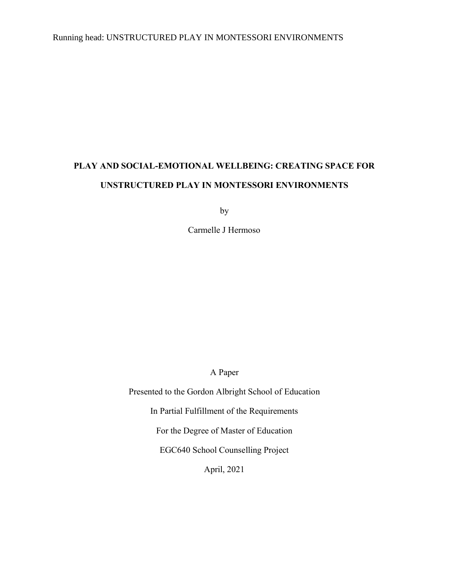## Running head: UNSTRUCTURED PLAY IN MONTESSORI ENVIRONMENTS

# **PLAY AND SOCIAL-EMOTIONAL WELLBEING: CREATING SPACE FOR UNSTRUCTURED PLAY IN MONTESSORI ENVIRONMENTS**

by

Carmelle J Hermoso

A Paper

Presented to the Gordon Albright School of Education In Partial Fulfillment of the Requirements For the Degree of Master of Education EGC640 School Counselling Project April, 2021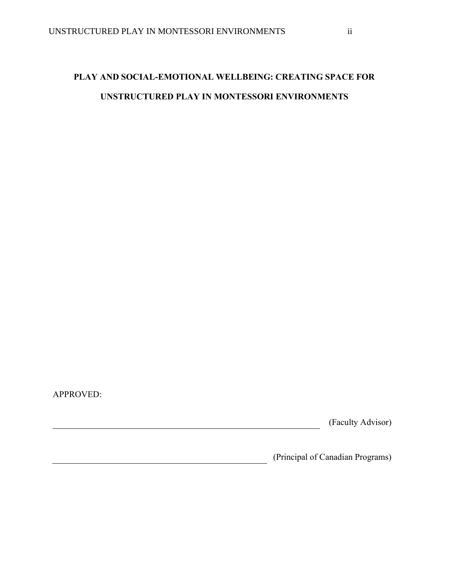## **PLAY AND SOCIAL-EMOTIONAL WELLBEING: CREATING SPACE FOR UNSTRUCTURED PLAY IN MONTESSORI ENVIRONMENTS**

<u> 1980 - Johann Barbara, martin amerikan basar da</u>

APPROVED:

(Faculty Advisor)

(Principal of Canadian Programs)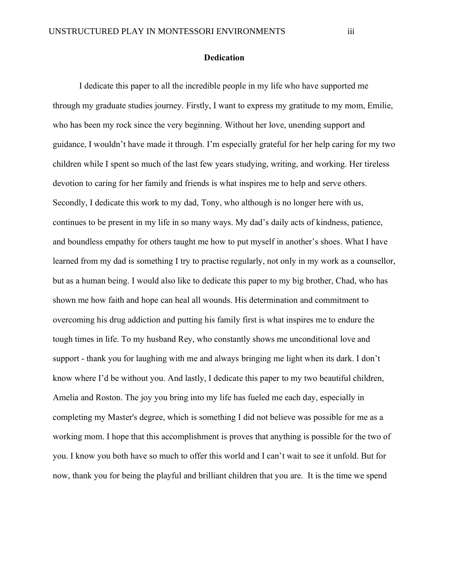#### **Dedication**

<span id="page-2-0"></span>I dedicate this paper to all the incredible people in my life who have supported me through my graduate studies journey. Firstly, I want to express my gratitude to my mom, Emilie, who has been my rock since the very beginning. Without her love, unending support and guidance, I wouldn't have made it through. I'm especially grateful for her help caring for my two children while I spent so much of the last few years studying, writing, and working. Her tireless devotion to caring for her family and friends is what inspires me to help and serve others. Secondly, I dedicate this work to my dad, Tony, who although is no longer here with us, continues to be present in my life in so many ways. My dad's daily acts of kindness, patience, and boundless empathy for others taught me how to put myself in another's shoes. What I have learned from my dad is something I try to practise regularly, not only in my work as a counsellor, but as a human being. I would also like to dedicate this paper to my big brother, Chad, who has shown me how faith and hope can heal all wounds. His determination and commitment to overcoming his drug addiction and putting his family first is what inspires me to endure the tough times in life. To my husband Rey, who constantly shows me unconditional love and support - thank you for laughing with me and always bringing me light when its dark. I don't know where I'd be without you. And lastly, I dedicate this paper to my two beautiful children, Amelia and Roston. The joy you bring into my life has fueled me each day, especially in completing my Master's degree, which is something I did not believe was possible for me as a working mom. I hope that this accomplishment is proves that anything is possible for the two of you. I know you both have so much to offer this world and I can't wait to see it unfold. But for now, thank you for being the playful and brilliant children that you are. It is the time we spend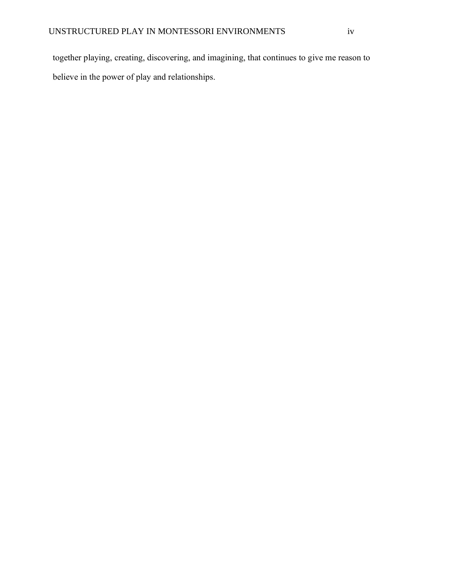together playing, creating, discovering, and imagining, that continues to give me reason to believe in the power of play and relationships.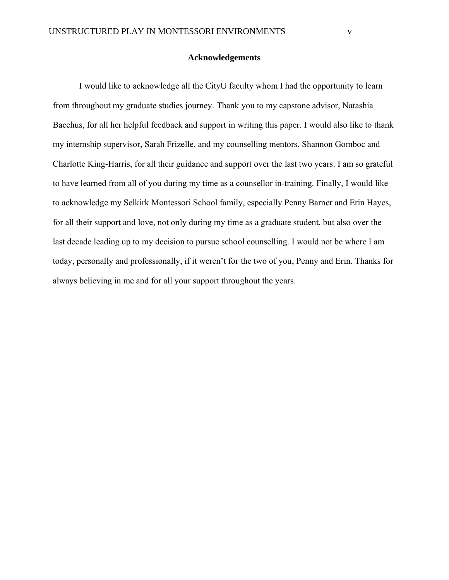#### **Acknowledgements**

<span id="page-4-0"></span>I would like to acknowledge all the CityU faculty whom I had the opportunity to learn from throughout my graduate studies journey. Thank you to my capstone advisor, Natashia Bacchus, for all her helpful feedback and support in writing this paper. I would also like to thank my internship supervisor, Sarah Frizelle, and my counselling mentors, Shannon Gomboc and Charlotte King-Harris, for all their guidance and support over the last two years. I am so grateful to have learned from all of you during my time as a counsellor in-training. Finally, I would like to acknowledge my Selkirk Montessori School family, especially Penny Barner and Erin Hayes, for all their support and love, not only during my time as a graduate student, but also over the last decade leading up to my decision to pursue school counselling. I would not be where I am today, personally and professionally, if it weren't for the two of you, Penny and Erin. Thanks for always believing in me and for all your support throughout the years.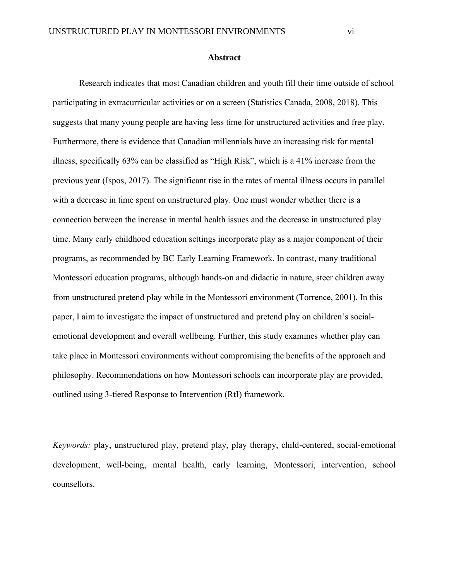#### **Abstract**

<span id="page-5-0"></span>Research indicates that most Canadian children and youth fill their time outside of school participating in extracurricular activities or on a screen (Statistics Canada, 2008, 2018). This suggests that many young people are having less time for unstructured activities and free play. Furthermore, there is evidence that Canadian millennials have an increasing risk for mental illness, specifically 63% can be classified as "High Risk", which is a 41% increase from the previous year (Ispos, 2017). The significant rise in the rates of mental illness occurs in parallel with a decrease in time spent on unstructured play. One must wonder whether there is a connection between the increase in mental health issues and the decrease in unstructured play time. Many early childhood education settings incorporate play as a major component of their programs, as recommended by BC Early Learning Framework. In contrast, many traditional Montessori education programs, although hands-on and didactic in nature, steer children away from unstructured pretend play while in the Montessori environment (Torrence, 2001). In this paper, I aim to investigate the impact of unstructured and pretend play on children's socialemotional development and overall wellbeing. Further, this study examines whether play can take place in Montessori environments without compromising the benefits of the approach and philosophy. Recommendations on how Montessori schools can incorporate play are provided, outlined using 3-tiered Response to Intervention (RtI) framework.

*Keywords:* play, unstructured play, pretend play, play therapy, child-centered, social-emotional development, well-being, mental health, early learning, Montessori, intervention, school counsellors.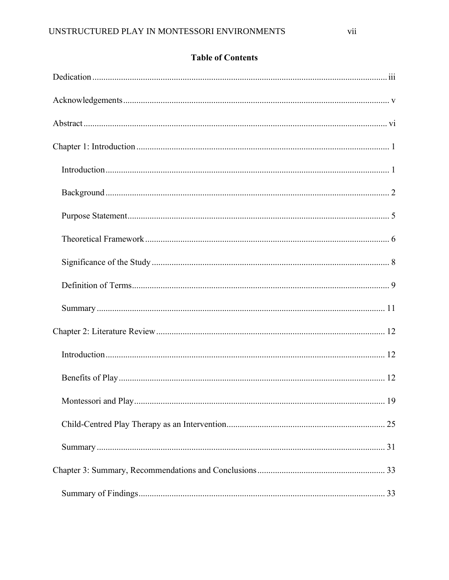## **Table of Contents**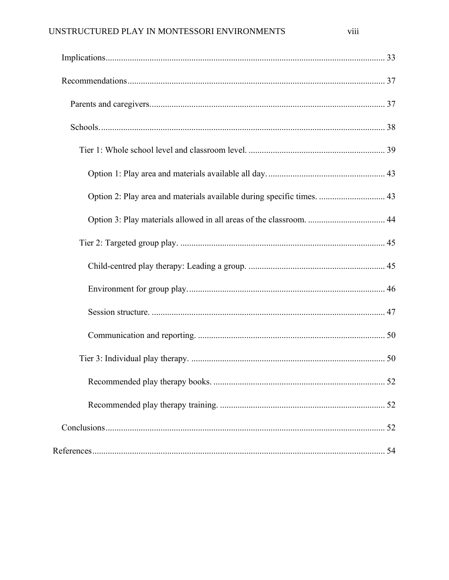| Option 2: Play area and materials available during specific times.  43 |    |
|------------------------------------------------------------------------|----|
|                                                                        |    |
|                                                                        |    |
|                                                                        |    |
|                                                                        |    |
|                                                                        |    |
|                                                                        |    |
|                                                                        |    |
|                                                                        | 52 |
|                                                                        |    |
|                                                                        |    |
|                                                                        |    |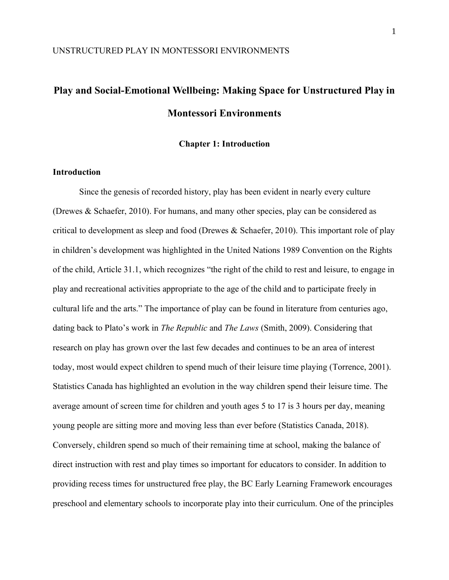# **Play and Social-Emotional Wellbeing: Making Space for Unstructured Play in Montessori Environments**

**Chapter 1: Introduction**

#### <span id="page-8-1"></span><span id="page-8-0"></span>**Introduction**

Since the genesis of recorded history, play has been evident in nearly every culture (Drewes & Schaefer, 2010). For humans, and many other species, play can be considered as critical to development as sleep and food (Drewes & Schaefer, 2010). This important role of play in children's development was highlighted in the United Nations 1989 Convention on the Rights of the child, Article 31.1, which recognizes "the right of the child to rest and leisure, to engage in play and recreational activities appropriate to the age of the child and to participate freely in cultural life and the arts." The importance of play can be found in literature from centuries ago, dating back to Plato's work in *The Republic* and *The Laws* (Smith, 2009). Considering that research on play has grown over the last few decades and continues to be an area of interest today, most would expect children to spend much of their leisure time playing (Torrence, 2001). Statistics Canada has highlighted an evolution in the way children spend their leisure time. The average amount of screen time for children and youth ages 5 to 17 is 3 hours per day, meaning young people are sitting more and moving less than ever before (Statistics Canada, 2018). Conversely, children spend so much of their remaining time at school, making the balance of direct instruction with rest and play times so important for educators to consider. In addition to providing recess times for unstructured free play, the BC Early Learning Framework encourages preschool and elementary schools to incorporate play into their curriculum. One of the principles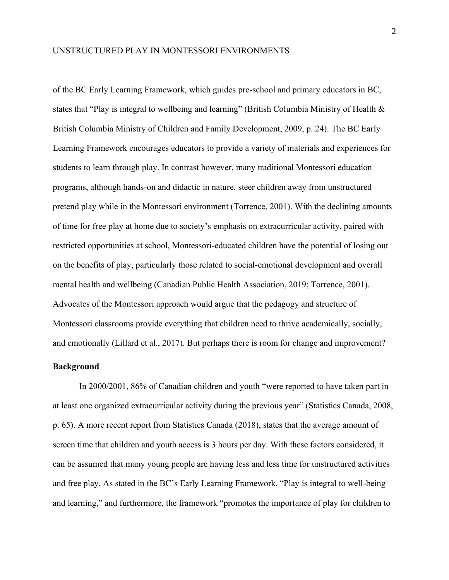of the BC Early Learning Framework, which guides pre-school and primary educators in BC, states that "Play is integral to wellbeing and learning" (British Columbia Ministry of Health & British Columbia Ministry of Children and Family Development, 2009, p. 24). The BC Early Learning Framework encourages educators to provide a variety of materials and experiences for students to learn through play. In contrast however, many traditional Montessori education programs, although hands-on and didactic in nature, steer children away from unstructured pretend play while in the Montessori environment (Torrence, 2001). With the declining amounts of time for free play at home due to society's emphasis on extracurricular activity, paired with restricted opportunities at school, Montessori-educated children have the potential of losing out on the benefits of play, particularly those related to social-emotional development and overall mental health and wellbeing (Canadian Public Health Association, 2019; Torrence, 2001). Advocates of the Montessori approach would argue that the pedagogy and structure of Montessori classrooms provide everything that children need to thrive academically, socially, and emotionally (Lillard et al., 2017). But perhaps there is room for change and improvement?

#### <span id="page-9-0"></span>**Background**

In 2000/2001, 86% of Canadian children and youth "were reported to have taken part in at least one organized extracurricular activity during the previous year" (Statistics Canada, 2008, p. 65). A more recent report from Statistics Canada (2018), states that the average amount of screen time that children and youth access is 3 hours per day. With these factors considered, it can be assumed that many young people are having less and less time for unstructured activities and free play. As stated in the BC's Early Learning Framework, "Play is integral to well-being and learning," and furthermore, the framework "promotes the importance of play for children to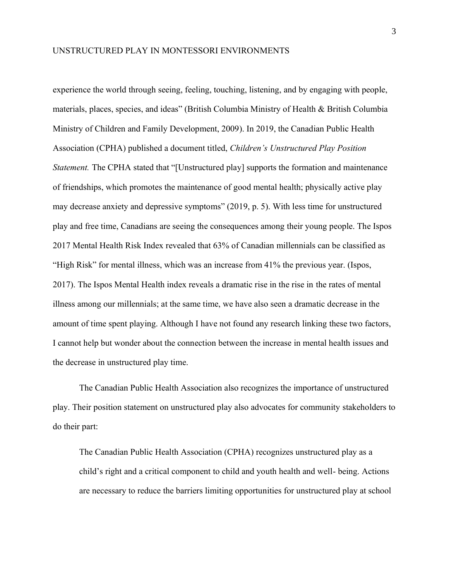experience the world through seeing, feeling, touching, listening, and by engaging with people, materials, places, species, and ideas" (British Columbia Ministry of Health & British Columbia Ministry of Children and Family Development, 2009). In 2019, the Canadian Public Health Association (CPHA) published a document titled, *Children's Unstructured Play Position Statement.* The CPHA stated that "[Unstructured play] supports the formation and maintenance of friendships, which promotes the maintenance of good mental health; physically active play may decrease anxiety and depressive symptoms" (2019, p. 5). With less time for unstructured play and free time, Canadians are seeing the consequences among their young people. The Ispos 2017 Mental Health Risk Index revealed that 63% of Canadian millennials can be classified as "High Risk" for mental illness, which was an increase from 41% the previous year. (Ispos, 2017). The Ispos Mental Health index reveals a dramatic rise in the rise in the rates of mental illness among our millennials; at the same time, we have also seen a dramatic decrease in the amount of time spent playing. Although I have not found any research linking these two factors, I cannot help but wonder about the connection between the increase in mental health issues and the decrease in unstructured play time.

The Canadian Public Health Association also recognizes the importance of unstructured play. Their position statement on unstructured play also advocates for community stakeholders to do their part:

The Canadian Public Health Association (CPHA) recognizes unstructured play as a child's right and a critical component to child and youth health and well- being. Actions are necessary to reduce the barriers limiting opportunities for unstructured play at school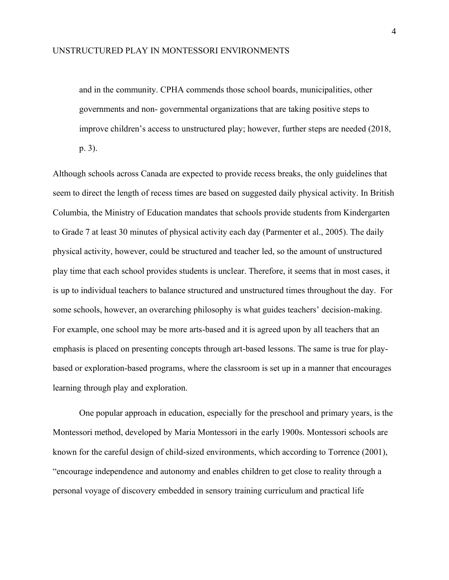and in the community. CPHA commends those school boards, municipalities, other governments and non- governmental organizations that are taking positive steps to improve children's access to unstructured play; however, further steps are needed (2018,

p. 3).

Although schools across Canada are expected to provide recess breaks, the only guidelines that seem to direct the length of recess times are based on suggested daily physical activity. In British Columbia, the Ministry of Education mandates that schools provide students from Kindergarten to Grade 7 at least 30 minutes of physical activity each day (Parmenter et al., 2005). The daily physical activity, however, could be structured and teacher led, so the amount of unstructured play time that each school provides students is unclear. Therefore, it seems that in most cases, it is up to individual teachers to balance structured and unstructured times throughout the day. For some schools, however, an overarching philosophy is what guides teachers' decision-making. For example, one school may be more arts-based and it is agreed upon by all teachers that an emphasis is placed on presenting concepts through art-based lessons. The same is true for playbased or exploration-based programs, where the classroom is set up in a manner that encourages learning through play and exploration.

One popular approach in education, especially for the preschool and primary years, is the Montessori method, developed by Maria Montessori in the early 1900s. Montessori schools are known for the careful design of child-sized environments, which according to Torrence (2001), "encourage independence and autonomy and enables children to get close to reality through a personal voyage of discovery embedded in sensory training curriculum and practical life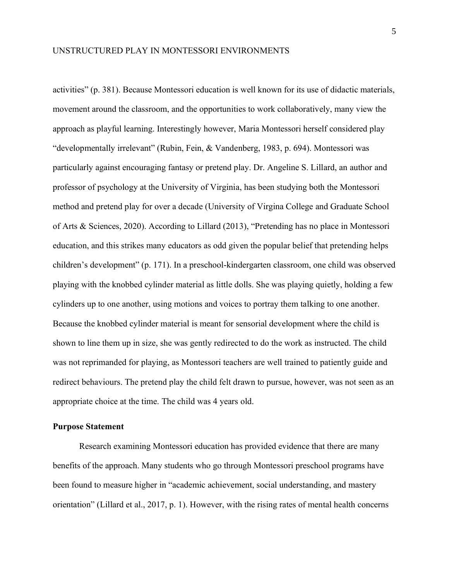activities" (p. 381). Because Montessori education is well known for its use of didactic materials, movement around the classroom, and the opportunities to work collaboratively, many view the approach as playful learning. Interestingly however, Maria Montessori herself considered play "developmentally irrelevant" (Rubin, Fein, & Vandenberg, 1983, p. 694). Montessori was particularly against encouraging fantasy or pretend play. Dr. Angeline S. Lillard, an author and professor of psychology at the University of Virginia, has been studying both the Montessori method and pretend play for over a decade (University of Virgina College and Graduate School of Arts & Sciences, 2020). According to Lillard (2013), "Pretending has no place in Montessori education, and this strikes many educators as odd given the popular belief that pretending helps children's development" (p. 171). In a preschool-kindergarten classroom, one child was observed playing with the knobbed cylinder material as little dolls. She was playing quietly, holding a few cylinders up to one another, using motions and voices to portray them talking to one another. Because the knobbed cylinder material is meant for sensorial development where the child is shown to line them up in size, she was gently redirected to do the work as instructed. The child was not reprimanded for playing, as Montessori teachers are well trained to patiently guide and redirect behaviours. The pretend play the child felt drawn to pursue, however, was not seen as an appropriate choice at the time. The child was 4 years old.

#### <span id="page-12-0"></span>**Purpose Statement**

Research examining Montessori education has provided evidence that there are many benefits of the approach. Many students who go through Montessori preschool programs have been found to measure higher in "academic achievement, social understanding, and mastery orientation" (Lillard et al., 2017, p. 1). However, with the rising rates of mental health concerns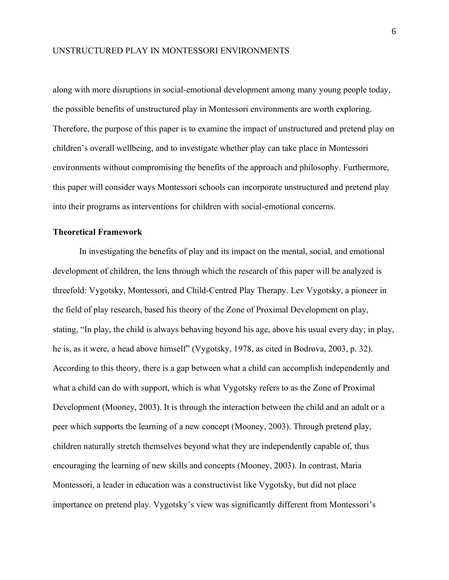along with more disruptions in social-emotional development among many young people today, the possible benefits of unstructured play in Montessori environments are worth exploring. Therefore, the purpose of this paper is to examine the impact of unstructured and pretend play on children's overall wellbeing, and to investigate whether play can take place in Montessori environments without compromising the benefits of the approach and philosophy. Furthermore, this paper will consider ways Montessori schools can incorporate unstructured and pretend play into their programs as interventions for children with social-emotional concerns.

#### <span id="page-13-0"></span>**Theoretical Framework**

In investigating the benefits of play and its impact on the mental, social, and emotional development of children, the lens through which the research of this paper will be analyzed is threefold: Vygotsky, Montessori, and Child-Centred Play Therapy. Lev Vygotsky, a pioneer in the field of play research, based his theory of the Zone of Proximal Development on play, stating, "In play, the child is always behaving beyond his age, above his usual every day; in play, he is, as it were, a head above himself" (Vygotsky, 1978, as cited in Bodrova, 2003, p. 32). According to this theory, there is a gap between what a child can accomplish independently and what a child can do with support, which is what Vygotsky refers to as the Zone of Proximal Development (Mooney, 2003). It is through the interaction between the child and an adult or a peer which supports the learning of a new concept (Mooney, 2003). Through pretend play, children naturally stretch themselves beyond what they are independently capable of, thus encouraging the learning of new skills and concepts (Mooney, 2003). In contrast, Maria Montessori, a leader in education was a constructivist like Vygotsky, but did not place importance on pretend play. Vygotsky's view was significantly different from Montessori's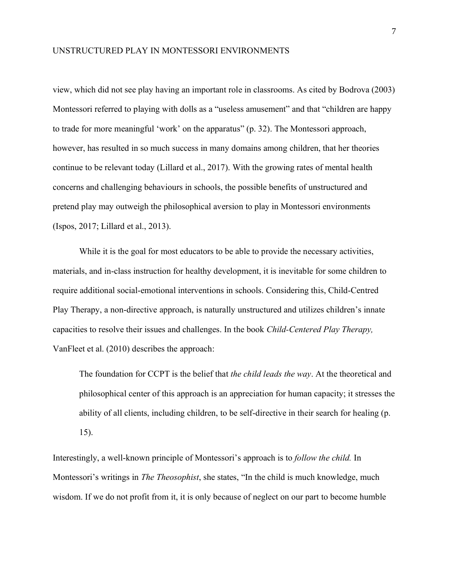view, which did not see play having an important role in classrooms. As cited by Bodrova (2003) Montessori referred to playing with dolls as a "useless amusement" and that "children are happy to trade for more meaningful 'work' on the apparatus" (p. 32). The Montessori approach, however, has resulted in so much success in many domains among children, that her theories continue to be relevant today (Lillard et al., 2017). With the growing rates of mental health concerns and challenging behaviours in schools, the possible benefits of unstructured and pretend play may outweigh the philosophical aversion to play in Montessori environments (Ispos, 2017; Lillard et al., 2013).

While it is the goal for most educators to be able to provide the necessary activities, materials, and in-class instruction for healthy development, it is inevitable for some children to require additional social-emotional interventions in schools. Considering this, Child-Centred Play Therapy, a non-directive approach, is naturally unstructured and utilizes children's innate capacities to resolve their issues and challenges. In the book *Child-Centered Play Therapy,*  VanFleet et al. (2010) describes the approach:

The foundation for CCPT is the belief that *the child leads the way*. At the theoretical and philosophical center of this approach is an appreciation for human capacity; it stresses the ability of all clients, including children, to be self-directive in their search for healing (p. 15).

Interestingly, a well-known principle of Montessori's approach is to *follow the child.* In Montessori's writings in *The Theosophist*, she states, "In the child is much knowledge, much wisdom. If we do not profit from it, it is only because of neglect on our part to become humble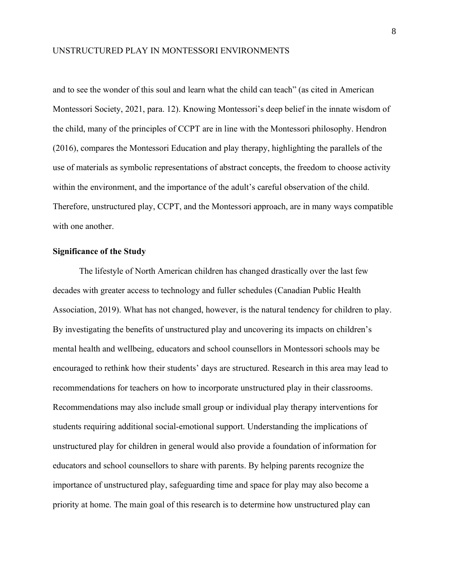and to see the wonder of this soul and learn what the child can teach" (as cited in American Montessori Society, 2021, para. 12). Knowing Montessori's deep belief in the innate wisdom of the child, many of the principles of CCPT are in line with the Montessori philosophy. Hendron (2016), compares the Montessori Education and play therapy, highlighting the parallels of the use of materials as symbolic representations of abstract concepts, the freedom to choose activity within the environment, and the importance of the adult's careful observation of the child. Therefore, unstructured play, CCPT, and the Montessori approach, are in many ways compatible with one another.

#### <span id="page-15-0"></span>**Significance of the Study**

The lifestyle of North American children has changed drastically over the last few decades with greater access to technology and fuller schedules (Canadian Public Health Association, 2019). What has not changed, however, is the natural tendency for children to play. By investigating the benefits of unstructured play and uncovering its impacts on children's mental health and wellbeing, educators and school counsellors in Montessori schools may be encouraged to rethink how their students' days are structured. Research in this area may lead to recommendations for teachers on how to incorporate unstructured play in their classrooms. Recommendations may also include small group or individual play therapy interventions for students requiring additional social-emotional support. Understanding the implications of unstructured play for children in general would also provide a foundation of information for educators and school counsellors to share with parents. By helping parents recognize the importance of unstructured play, safeguarding time and space for play may also become a priority at home. The main goal of this research is to determine how unstructured play can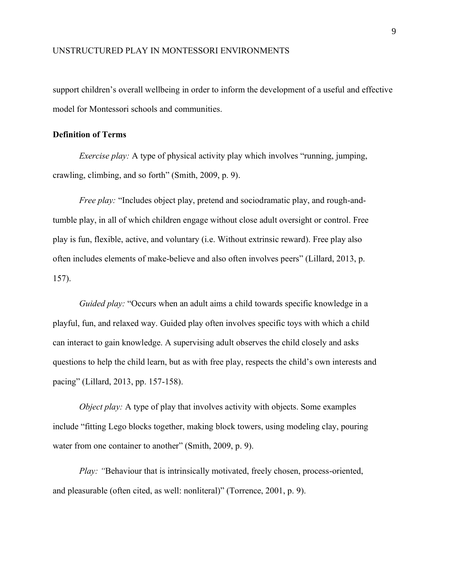support children's overall wellbeing in order to inform the development of a useful and effective model for Montessori schools and communities.

#### <span id="page-16-0"></span>**Definition of Terms**

*Exercise play:* A type of physical activity play which involves "running, jumping, crawling, climbing, and so forth" (Smith, 2009, p. 9).

*Free play:* "Includes object play, pretend and sociodramatic play, and rough-andtumble play, in all of which children engage without close adult oversight or control. Free play is fun, flexible, active, and voluntary (i.e. Without extrinsic reward). Free play also often includes elements of make-believe and also often involves peers" (Lillard, 2013, p. 157).

*Guided play:* "Occurs when an adult aims a child towards specific knowledge in a playful, fun, and relaxed way. Guided play often involves specific toys with which a child can interact to gain knowledge. A supervising adult observes the child closely and asks questions to help the child learn, but as with free play, respects the child's own interests and pacing" (Lillard, 2013, pp. 157-158).

*Object play:* A type of play that involves activity with objects. Some examples include "fitting Lego blocks together, making block towers, using modeling clay, pouring water from one container to another" (Smith, 2009, p. 9).

*Play: "Behaviour that is intrinsically motivated, freely chosen, process-oriented,* and pleasurable (often cited, as well: nonliteral)" (Torrence, 2001, p. 9).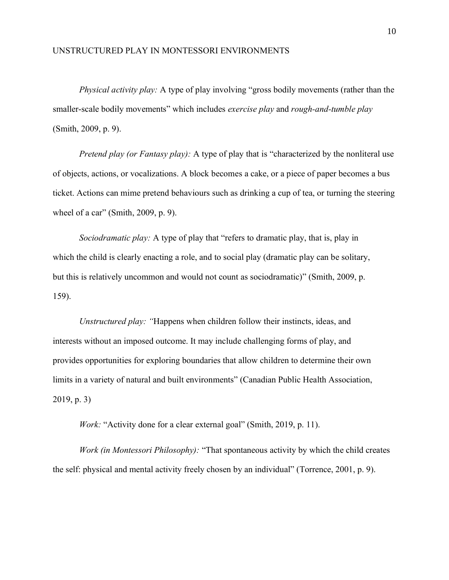*Physical activity play:* A type of play involving "gross bodily movements (rather than the smaller-scale bodily movements" which includes *exercise play* and *rough-and-tumble play*  (Smith, 2009, p. 9).

*Pretend play (or Fantasy play):* A type of play that is "characterized by the nonliteral use of objects, actions, or vocalizations. A block becomes a cake, or a piece of paper becomes a bus ticket. Actions can mime pretend behaviours such as drinking a cup of tea, or turning the steering wheel of a car" (Smith, 2009, p. 9).

*Sociodramatic play:* A type of play that "refers to dramatic play, that is, play in which the child is clearly enacting a role, and to social play (dramatic play can be solitary, but this is relatively uncommon and would not count as sociodramatic)" (Smith, 2009, p. 159).

*Unstructured play: "*Happens when children follow their instincts, ideas, and interests without an imposed outcome. It may include challenging forms of play, and provides opportunities for exploring boundaries that allow children to determine their own limits in a variety of natural and built environments" (Canadian Public Health Association, 2019, p. 3)

*Work:* "Activity done for a clear external goal" (Smith, 2019, p. 11).

*Work (in Montessori Philosophy):* "That spontaneous activity by which the child creates the self: physical and mental activity freely chosen by an individual" (Torrence, 2001, p. 9).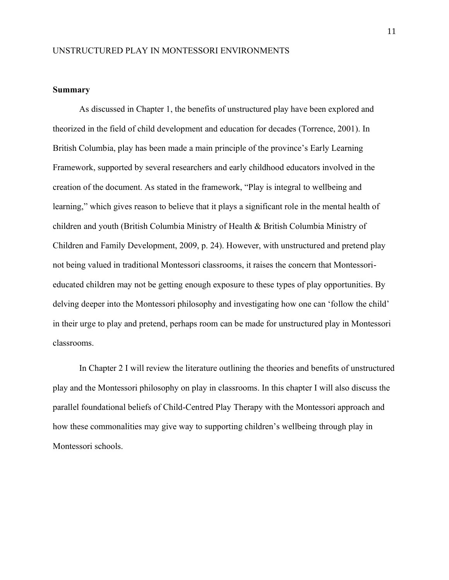#### <span id="page-18-0"></span>**Summary**

As discussed in Chapter 1, the benefits of unstructured play have been explored and theorized in the field of child development and education for decades (Torrence, 2001). In British Columbia, play has been made a main principle of the province's Early Learning Framework, supported by several researchers and early childhood educators involved in the creation of the document. As stated in the framework, "Play is integral to wellbeing and learning," which gives reason to believe that it plays a significant role in the mental health of children and youth (British Columbia Ministry of Health & British Columbia Ministry of Children and Family Development, 2009, p. 24). However, with unstructured and pretend play not being valued in traditional Montessori classrooms, it raises the concern that Montessorieducated children may not be getting enough exposure to these types of play opportunities. By delving deeper into the Montessori philosophy and investigating how one can 'follow the child' in their urge to play and pretend, perhaps room can be made for unstructured play in Montessori classrooms.

In Chapter 2 I will review the literature outlining the theories and benefits of unstructured play and the Montessori philosophy on play in classrooms. In this chapter I will also discuss the parallel foundational beliefs of Child-Centred Play Therapy with the Montessori approach and how these commonalities may give way to supporting children's wellbeing through play in Montessori schools.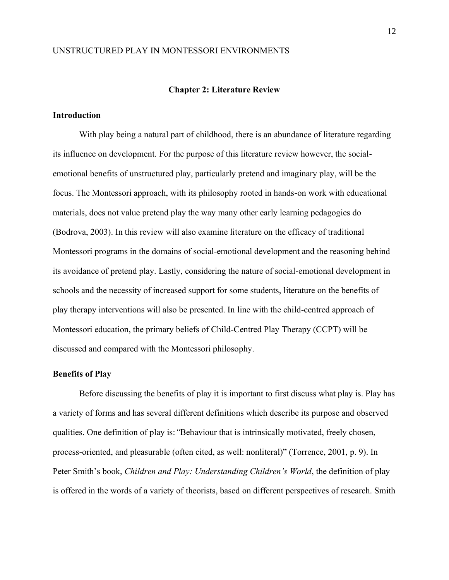#### **Chapter 2: Literature Review**

#### <span id="page-19-1"></span><span id="page-19-0"></span>**Introduction**

With play being a natural part of childhood, there is an abundance of literature regarding its influence on development. For the purpose of this literature review however, the socialemotional benefits of unstructured play, particularly pretend and imaginary play, will be the focus. The Montessori approach, with its philosophy rooted in hands-on work with educational materials, does not value pretend play the way many other early learning pedagogies do (Bodrova, 2003). In this review will also examine literature on the efficacy of traditional Montessori programs in the domains of social-emotional development and the reasoning behind its avoidance of pretend play. Lastly, considering the nature of social-emotional development in schools and the necessity of increased support for some students, literature on the benefits of play therapy interventions will also be presented. In line with the child-centred approach of Montessori education, the primary beliefs of Child-Centred Play Therapy (CCPT) will be discussed and compared with the Montessori philosophy.

#### <span id="page-19-2"></span>**Benefits of Play**

Before discussing the benefits of play it is important to first discuss what play is. Play has a variety of forms and has several different definitions which describe its purpose and observed qualities. One definition of play is:*"*Behaviour that is intrinsically motivated, freely chosen, process-oriented, and pleasurable (often cited, as well: nonliteral)" (Torrence, 2001, p. 9). In Peter Smith's book, *Children and Play: Understanding Children's World*, the definition of play is offered in the words of a variety of theorists, based on different perspectives of research. Smith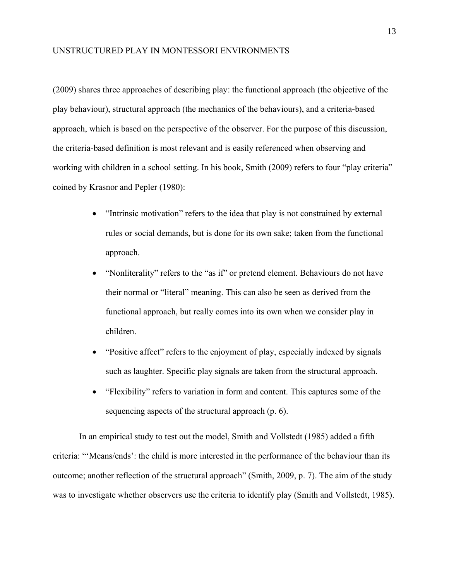(2009) shares three approaches of describing play: the functional approach (the objective of the play behaviour), structural approach (the mechanics of the behaviours), and a criteria-based approach, which is based on the perspective of the observer. For the purpose of this discussion, the criteria-based definition is most relevant and is easily referenced when observing and working with children in a school setting. In his book, Smith (2009) refers to four "play criteria" coined by Krasnor and Pepler (1980):

- "Intrinsic motivation" refers to the idea that play is not constrained by external rules or social demands, but is done for its own sake; taken from the functional approach.
- "Nonliterality" refers to the "as if" or pretend element. Behaviours do not have their normal or "literal" meaning. This can also be seen as derived from the functional approach, but really comes into its own when we consider play in children.
- "Positive affect" refers to the enjoyment of play, especially indexed by signals such as laughter. Specific play signals are taken from the structural approach.
- "Flexibility" refers to variation in form and content. This captures some of the sequencing aspects of the structural approach (p. 6).

In an empirical study to test out the model, Smith and Vollstedt (1985) added a fifth criteria: "'Means/ends': the child is more interested in the performance of the behaviour than its outcome; another reflection of the structural approach" (Smith, 2009, p. 7). The aim of the study was to investigate whether observers use the criteria to identify play (Smith and Vollstedt, 1985).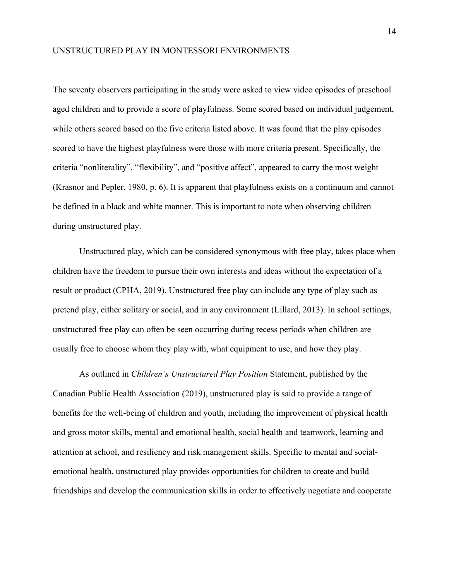The seventy observers participating in the study were asked to view video episodes of preschool aged children and to provide a score of playfulness. Some scored based on individual judgement, while others scored based on the five criteria listed above. It was found that the play episodes scored to have the highest playfulness were those with more criteria present. Specifically, the criteria "nonliterality", "flexibility", and "positive affect", appeared to carry the most weight (Krasnor and Pepler, 1980, p. 6). It is apparent that playfulness exists on a continuum and cannot be defined in a black and white manner. This is important to note when observing children during unstructured play.

Unstructured play, which can be considered synonymous with free play, takes place when children have the freedom to pursue their own interests and ideas without the expectation of a result or product (CPHA, 2019). Unstructured free play can include any type of play such as pretend play, either solitary or social, and in any environment (Lillard, 2013). In school settings, unstructured free play can often be seen occurring during recess periods when children are usually free to choose whom they play with, what equipment to use, and how they play.

As outlined in *Children's Unstructured Play Position* Statement, published by the Canadian Public Health Association (2019), unstructured play is said to provide a range of benefits for the well-being of children and youth, including the improvement of physical health and gross motor skills, mental and emotional health, social health and teamwork, learning and attention at school, and resiliency and risk management skills. Specific to mental and socialemotional health, unstructured play provides opportunities for children to create and build friendships and develop the communication skills in order to effectively negotiate and cooperate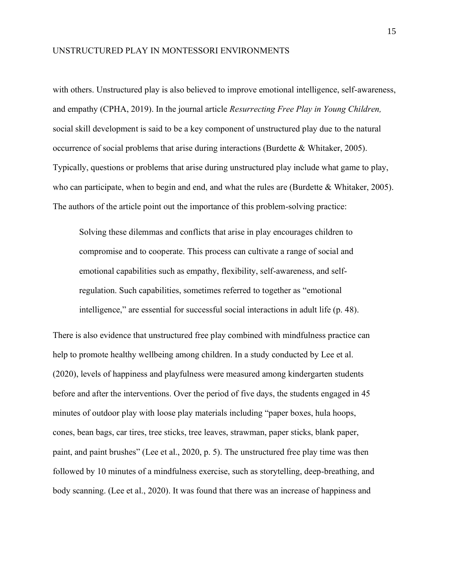with others. Unstructured play is also believed to improve emotional intelligence, self-awareness, and empathy (CPHA, 2019). In the journal article *Resurrecting Free Play in Young Children,*  social skill development is said to be a key component of unstructured play due to the natural occurrence of social problems that arise during interactions (Burdette & Whitaker, 2005). Typically, questions or problems that arise during unstructured play include what game to play, who can participate, when to begin and end, and what the rules are (Burdette & Whitaker, 2005). The authors of the article point out the importance of this problem-solving practice:

Solving these dilemmas and conflicts that arise in play encourages children to compromise and to cooperate. This process can cultivate a range of social and emotional capabilities such as empathy, flexibility, self-awareness, and selfregulation. Such capabilities, sometimes referred to together as "emotional intelligence," are essential for successful social interactions in adult life (p. 48).

There is also evidence that unstructured free play combined with mindfulness practice can help to promote healthy wellbeing among children. In a study conducted by Lee et al. (2020), levels of happiness and playfulness were measured among kindergarten students before and after the interventions. Over the period of five days, the students engaged in 45 minutes of outdoor play with loose play materials including "paper boxes, hula hoops, cones, bean bags, car tires, tree sticks, tree leaves, strawman, paper sticks, blank paper, paint, and paint brushes" (Lee et al., 2020, p. 5). The unstructured free play time was then followed by 10 minutes of a mindfulness exercise, such as storytelling, deep-breathing, and body scanning. (Lee et al., 2020). It was found that there was an increase of happiness and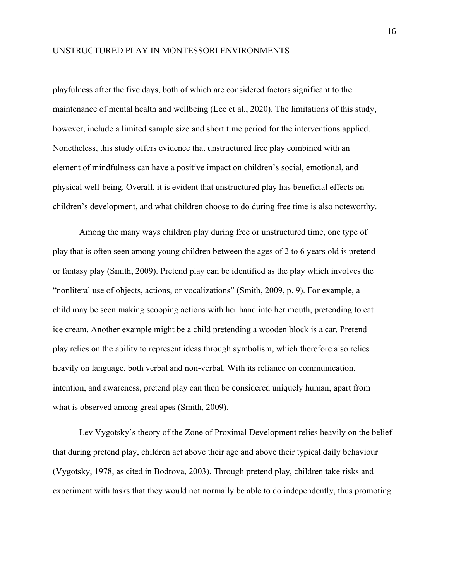playfulness after the five days, both of which are considered factors significant to the maintenance of mental health and wellbeing (Lee et al., 2020). The limitations of this study, however, include a limited sample size and short time period for the interventions applied. Nonetheless, this study offers evidence that unstructured free play combined with an element of mindfulness can have a positive impact on children's social, emotional, and physical well-being. Overall, it is evident that unstructured play has beneficial effects on children's development, and what children choose to do during free time is also noteworthy.

Among the many ways children play during free or unstructured time, one type of play that is often seen among young children between the ages of 2 to 6 years old is pretend or fantasy play (Smith, 2009). Pretend play can be identified as the play which involves the "nonliteral use of objects, actions, or vocalizations" (Smith, 2009, p. 9). For example, a child may be seen making scooping actions with her hand into her mouth, pretending to eat ice cream. Another example might be a child pretending a wooden block is a car. Pretend play relies on the ability to represent ideas through symbolism, which therefore also relies heavily on language, both verbal and non-verbal. With its reliance on communication, intention, and awareness, pretend play can then be considered uniquely human, apart from what is observed among great apes (Smith, 2009).

Lev Vygotsky's theory of the Zone of Proximal Development relies heavily on the belief that during pretend play, children act above their age and above their typical daily behaviour (Vygotsky, 1978, as cited in Bodrova, 2003). Through pretend play, children take risks and experiment with tasks that they would not normally be able to do independently, thus promoting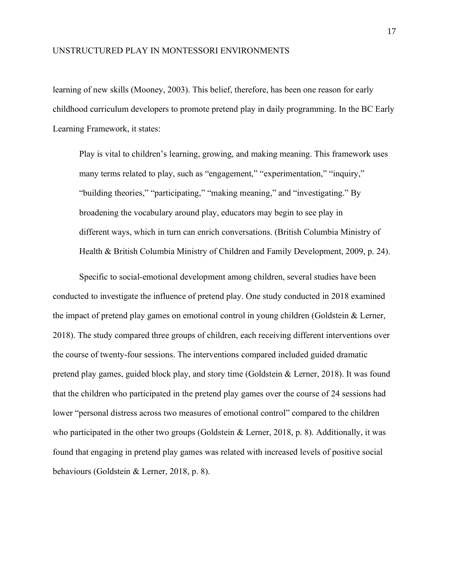learning of new skills (Mooney, 2003). This belief, therefore, has been one reason for early childhood curriculum developers to promote pretend play in daily programming. In the BC Early Learning Framework, it states:

Play is vital to children's learning, growing, and making meaning. This framework uses many terms related to play, such as "engagement," "experimentation," "inquiry," "building theories," "participating," "making meaning," and "investigating." By broadening the vocabulary around play, educators may begin to see play in different ways, which in turn can enrich conversations. (British Columbia Ministry of Health & British Columbia Ministry of Children and Family Development, 2009, p. 24).

Specific to social-emotional development among children, several studies have been conducted to investigate the influence of pretend play. One study conducted in 2018 examined the impact of pretend play games on emotional control in young children (Goldstein & Lerner, 2018). The study compared three groups of children, each receiving different interventions over the course of twenty-four sessions. The interventions compared included guided dramatic pretend play games, guided block play, and story time (Goldstein & Lerner, 2018). It was found that the children who participated in the pretend play games over the course of 24 sessions had lower "personal distress across two measures of emotional control" compared to the children who participated in the other two groups (Goldstein & Lerner, 2018, p. 8). Additionally, it was found that engaging in pretend play games was related with increased levels of positive social behaviours (Goldstein & Lerner, 2018, p. 8).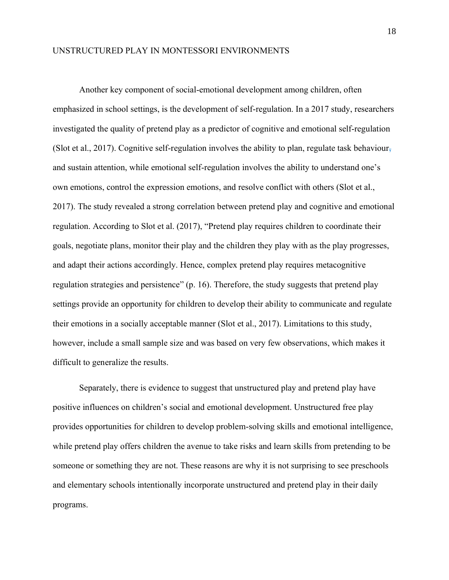Another key component of social-emotional development among children, often emphasized in school settings, is the development of self-regulation. In a 2017 study, researchers investigated the quality of pretend play as a predictor of cognitive and emotional self-regulation (Slot et al., 2017). Cognitive self-regulation involves the ability to plan, regulate task behaviour, and sustain attention, while emotional self-regulation involves the ability to understand one's own emotions, control the expression emotions, and resolve conflict with others (Slot et al., 2017). The study revealed a strong correlation between pretend play and cognitive and emotional regulation. According to Slot et al. (2017), "Pretend play requires children to coordinate their goals, negotiate plans, monitor their play and the children they play with as the play progresses, and adapt their actions accordingly. Hence, complex pretend play requires metacognitive regulation strategies and persistence" (p. 16). Therefore, the study suggests that pretend play settings provide an opportunity for children to develop their ability to communicate and regulate their emotions in a socially acceptable manner (Slot et al., 2017). Limitations to this study, however, include a small sample size and was based on very few observations, which makes it difficult to generalize the results.

Separately, there is evidence to suggest that unstructured play and pretend play have positive influences on children's social and emotional development. Unstructured free play provides opportunities for children to develop problem-solving skills and emotional intelligence, while pretend play offers children the avenue to take risks and learn skills from pretending to be someone or something they are not. These reasons are why it is not surprising to see preschools and elementary schools intentionally incorporate unstructured and pretend play in their daily programs.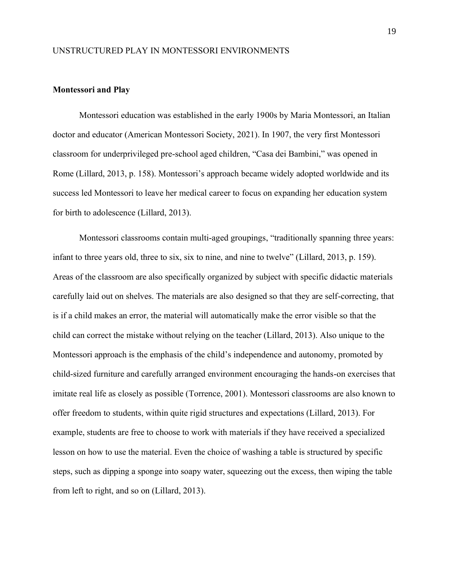#### <span id="page-26-0"></span>**Montessori and Play**

Montessori education was established in the early 1900s by Maria Montessori, an Italian doctor and educator (American Montessori Society, 2021). In 1907, the very first Montessori classroom for underprivileged pre-school aged children, "Casa dei Bambini," was opened in Rome (Lillard, 2013, p. 158). Montessori's approach became widely adopted worldwide and its success led Montessori to leave her medical career to focus on expanding her education system for birth to adolescence (Lillard, 2013).

Montessori classrooms contain multi-aged groupings, "traditionally spanning three years: infant to three years old, three to six, six to nine, and nine to twelve" (Lillard, 2013, p. 159). Areas of the classroom are also specifically organized by subject with specific didactic materials carefully laid out on shelves. The materials are also designed so that they are self-correcting, that is if a child makes an error, the material will automatically make the error visible so that the child can correct the mistake without relying on the teacher (Lillard, 2013). Also unique to the Montessori approach is the emphasis of the child's independence and autonomy, promoted by child-sized furniture and carefully arranged environment encouraging the hands-on exercises that imitate real life as closely as possible (Torrence, 2001). Montessori classrooms are also known to offer freedom to students, within quite rigid structures and expectations (Lillard, 2013). For example, students are free to choose to work with materials if they have received a specialized lesson on how to use the material. Even the choice of washing a table is structured by specific steps, such as dipping a sponge into soapy water, squeezing out the excess, then wiping the table from left to right, and so on (Lillard, 2013).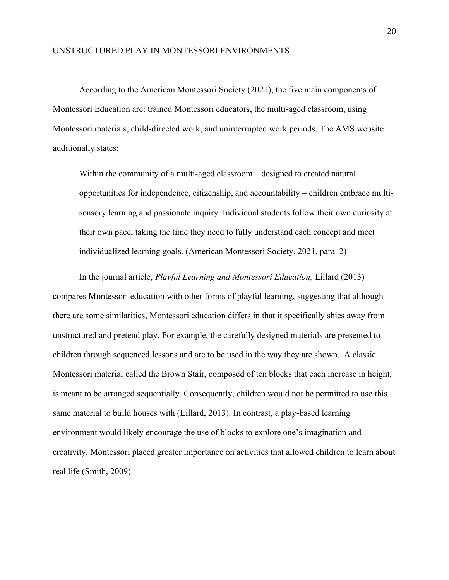According to the American Montessori Society (2021), the five main components of Montessori Education are: trained Montessori educators, the multi-aged classroom, using Montessori materials, child-directed work, and uninterrupted work periods. The AMS website additionally states:

Within the community of a multi-aged classroom – designed to created natural opportunities for independence, citizenship, and accountability – children embrace multisensory learning and passionate inquiry. Individual students follow their own curiosity at their own pace, taking the time they need to fully understand each concept and meet individualized learning goals. (American Montessori Society, 2021, para. 2)

In the journal article, *Playful Learning and Montessori Education,* Lillard (2013) compares Montessori education with other forms of playful learning, suggesting that although there are some similarities, Montessori education differs in that it specifically shies away from unstructured and pretend play. For example, the carefully designed materials are presented to children through sequenced lessons and are to be used in the way they are shown. A classic Montessori material called the Brown Stair, composed of ten blocks that each increase in height, is meant to be arranged sequentially. Consequently, children would not be permitted to use this same material to build houses with (Lillard, 2013). In contrast, a play-based learning environment would likely encourage the use of blocks to explore one's imagination and creativity. Montessori placed greater importance on activities that allowed children to learn about real life (Smith, 2009).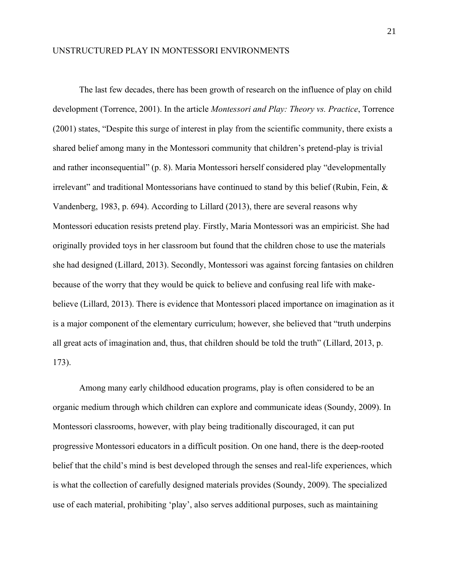The last few decades, there has been growth of research on the influence of play on child development (Torrence, 2001). In the article *Montessori and Play: Theory vs. Practice*, Torrence (2001) states, "Despite this surge of interest in play from the scientific community, there exists a shared belief among many in the Montessori community that children's pretend-play is trivial and rather inconsequential" (p. 8). Maria Montessori herself considered play "developmentally irrelevant" and traditional Montessorians have continued to stand by this belief (Rubin, Fein, & Vandenberg, 1983, p. 694). According to Lillard (2013), there are several reasons why Montessori education resists pretend play. Firstly, Maria Montessori was an empiricist. She had originally provided toys in her classroom but found that the children chose to use the materials she had designed (Lillard, 2013). Secondly, Montessori was against forcing fantasies on children because of the worry that they would be quick to believe and confusing real life with makebelieve (Lillard, 2013). There is evidence that Montessori placed importance on imagination as it is a major component of the elementary curriculum; however, she believed that "truth underpins all great acts of imagination and, thus, that children should be told the truth" (Lillard, 2013, p. 173).

Among many early childhood education programs, play is often considered to be an organic medium through which children can explore and communicate ideas (Soundy, 2009). In Montessori classrooms, however, with play being traditionally discouraged, it can put progressive Montessori educators in a difficult position. On one hand, there is the deep-rooted belief that the child's mind is best developed through the senses and real-life experiences, which is what the collection of carefully designed materials provides (Soundy, 2009). The specialized use of each material, prohibiting 'play', also serves additional purposes, such as maintaining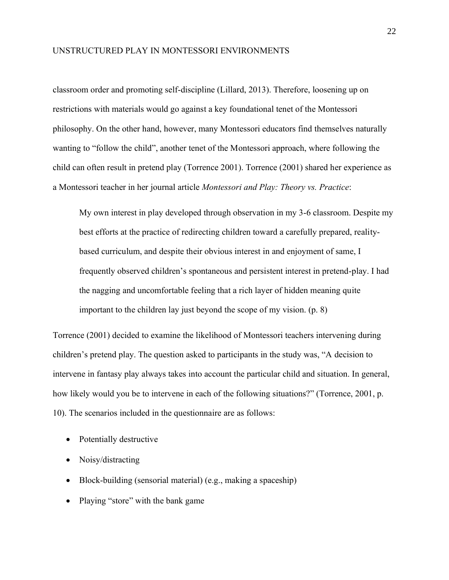classroom order and promoting self-discipline (Lillard, 2013). Therefore, loosening up on restrictions with materials would go against a key foundational tenet of the Montessori philosophy. On the other hand, however, many Montessori educators find themselves naturally wanting to "follow the child", another tenet of the Montessori approach, where following the child can often result in pretend play (Torrence 2001). Torrence (2001) shared her experience as a Montessori teacher in her journal article *Montessori and Play: Theory vs. Practice*:

My own interest in play developed through observation in my 3-6 classroom. Despite my best efforts at the practice of redirecting children toward a carefully prepared, realitybased curriculum, and despite their obvious interest in and enjoyment of same, I frequently observed children's spontaneous and persistent interest in pretend-play. I had the nagging and uncomfortable feeling that a rich layer of hidden meaning quite important to the children lay just beyond the scope of my vision. (p. 8)

Torrence (2001) decided to examine the likelihood of Montessori teachers intervening during children's pretend play. The question asked to participants in the study was, "A decision to intervene in fantasy play always takes into account the particular child and situation. In general, how likely would you be to intervene in each of the following situations?" (Torrence, 2001, p. 10). The scenarios included in the questionnaire are as follows:

- Potentially destructive
- Noisy/distracting
- Block-building (sensorial material) (e.g., making a spaceship)
- Playing "store" with the bank game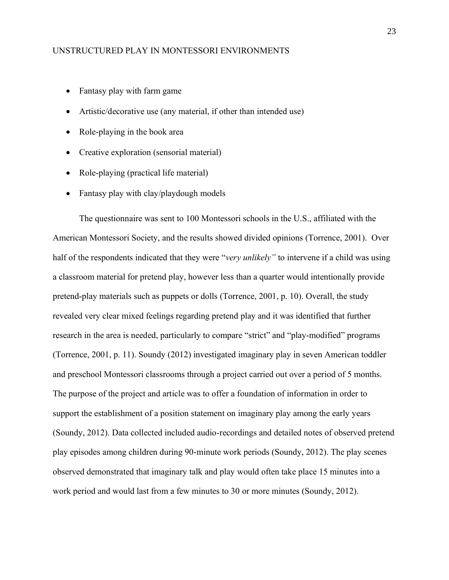- Fantasy play with farm game
- Artistic/decorative use (any material, if other than intended use)
- Role-playing in the book area
- Creative exploration (sensorial material)
- Role-playing (practical life material)
- Fantasy play with clay/playdough models

The questionnaire was sent to 100 Montessori schools in the U.S., affiliated with the American Montessori Society, and the results showed divided opinions (Torrence, 2001). Over half of the respondents indicated that they were "*very unlikely"* to intervene if a child was using a classroom material for pretend play, however less than a quarter would intentionally provide pretend-play materials such as puppets or dolls (Torrence, 2001, p. 10). Overall, the study revealed very clear mixed feelings regarding pretend play and it was identified that further research in the area is needed, particularly to compare "strict" and "play-modified" programs (Torrence, 2001, p. 11). Soundy (2012) investigated imaginary play in seven American toddler and preschool Montessori classrooms through a project carried out over a period of 5 months. The purpose of the project and article was to offer a foundation of information in order to support the establishment of a position statement on imaginary play among the early years (Soundy, 2012). Data collected included audio-recordings and detailed notes of observed pretend play episodes among children during 90-minute work periods (Soundy, 2012). The play scenes observed demonstrated that imaginary talk and play would often take place 15 minutes into a work period and would last from a few minutes to 30 or more minutes (Soundy, 2012).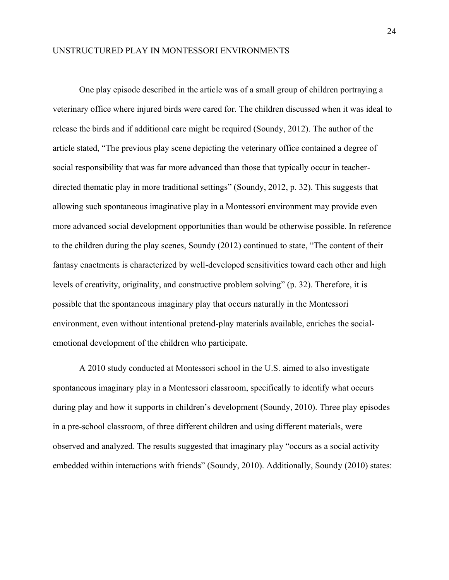One play episode described in the article was of a small group of children portraying a veterinary office where injured birds were cared for. The children discussed when it was ideal to release the birds and if additional care might be required (Soundy, 2012). The author of the article stated, "The previous play scene depicting the veterinary office contained a degree of social responsibility that was far more advanced than those that typically occur in teacherdirected thematic play in more traditional settings" (Soundy, 2012, p. 32). This suggests that allowing such spontaneous imaginative play in a Montessori environment may provide even more advanced social development opportunities than would be otherwise possible. In reference to the children during the play scenes, Soundy (2012) continued to state, "The content of their fantasy enactments is characterized by well-developed sensitivities toward each other and high levels of creativity, originality, and constructive problem solving" (p. 32). Therefore, it is possible that the spontaneous imaginary play that occurs naturally in the Montessori environment, even without intentional pretend-play materials available, enriches the socialemotional development of the children who participate.

A 2010 study conducted at Montessori school in the U.S. aimed to also investigate spontaneous imaginary play in a Montessori classroom, specifically to identify what occurs during play and how it supports in children's development (Soundy, 2010). Three play episodes in a pre-school classroom, of three different children and using different materials, were observed and analyzed. The results suggested that imaginary play "occurs as a social activity embedded within interactions with friends" (Soundy, 2010). Additionally, Soundy (2010) states: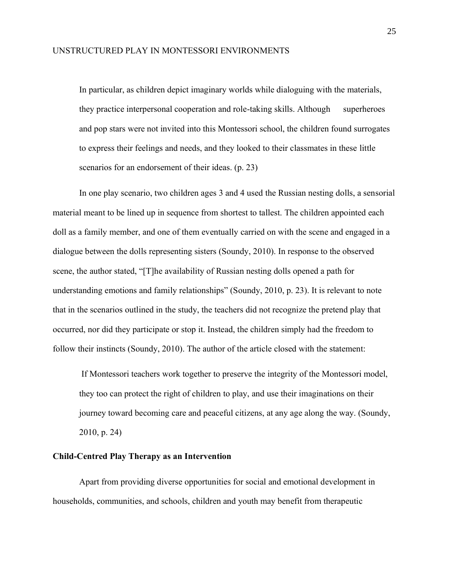In particular, as children depict imaginary worlds while dialoguing with the materials, they practice interpersonal cooperation and role-taking skills. Although superheroes and pop stars were not invited into this Montessori school, the children found surrogates to express their feelings and needs, and they looked to their classmates in these little scenarios for an endorsement of their ideas. (p. 23)

In one play scenario, two children ages 3 and 4 used the Russian nesting dolls, a sensorial material meant to be lined up in sequence from shortest to tallest. The children appointed each doll as a family member, and one of them eventually carried on with the scene and engaged in a dialogue between the dolls representing sisters (Soundy, 2010). In response to the observed scene, the author stated, "[T]he availability of Russian nesting dolls opened a path for understanding emotions and family relationships" (Soundy, 2010, p. 23). It is relevant to note that in the scenarios outlined in the study, the teachers did not recognize the pretend play that occurred, nor did they participate or stop it. Instead, the children simply had the freedom to follow their instincts (Soundy, 2010). The author of the article closed with the statement:

If Montessori teachers work together to preserve the integrity of the Montessori model, they too can protect the right of children to play, and use their imaginations on their journey toward becoming care and peaceful citizens, at any age along the way. (Soundy, 2010, p. 24)

#### <span id="page-32-0"></span>**Child-Centred Play Therapy as an Intervention**

Apart from providing diverse opportunities for social and emotional development in households, communities, and schools, children and youth may benefit from therapeutic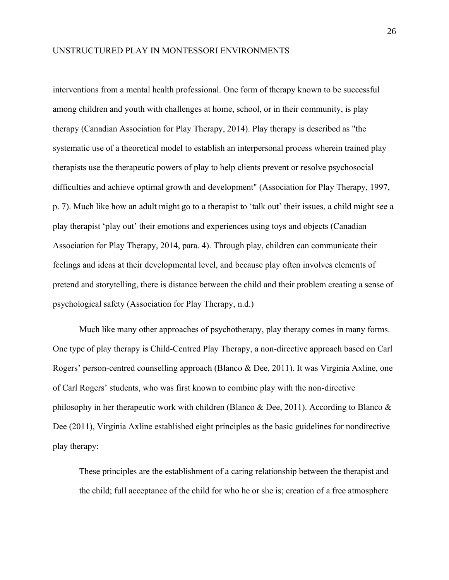interventions from a mental health professional. One form of therapy known to be successful among children and youth with challenges at home, school, or in their community, is play therapy (Canadian Association for Play Therapy, 2014). Play therapy is described as "the systematic use of a theoretical model to establish an interpersonal process wherein trained play therapists use the therapeutic powers of play to help clients prevent or resolve psychosocial difficulties and achieve optimal growth and development" (Association for Play Therapy, 1997, p. 7). Much like how an adult might go to a therapist to 'talk out' their issues, a child might see a play therapist 'play out' their emotions and experiences using toys and objects (Canadian Association for Play Therapy, 2014, para. 4). Through play, children can communicate their feelings and ideas at their developmental level, and because play often involves elements of pretend and storytelling, there is distance between the child and their problem creating a sense of psychological safety (Association for Play Therapy, n.d.)

Much like many other approaches of psychotherapy, play therapy comes in many forms. One type of play therapy is Child-Centred Play Therapy, a non-directive approach based on Carl Rogers' person-centred counselling approach (Blanco & Dee, 2011). It was Virginia Axline, one of Carl Rogers' students, who was first known to combine play with the non-directive philosophy in her therapeutic work with children (Blanco & Dee, 2011). According to Blanco & Dee (2011), Virginia Axline established eight principles as the basic guidelines for nondirective play therapy:

These principles are the establishment of a caring relationship between the therapist and the child; full acceptance of the child for who he or she is; creation of a free atmosphere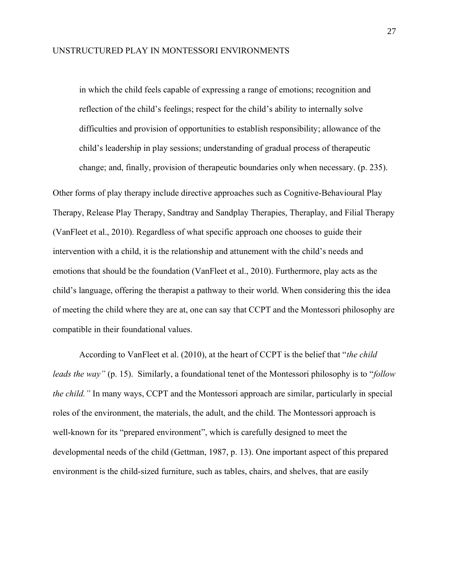in which the child feels capable of expressing a range of emotions; recognition and reflection of the child's feelings; respect for the child's ability to internally solve difficulties and provision of opportunities to establish responsibility; allowance of the child's leadership in play sessions; understanding of gradual process of therapeutic change; and, finally, provision of therapeutic boundaries only when necessary. (p. 235).

Other forms of play therapy include directive approaches such as Cognitive-Behavioural Play Therapy, Release Play Therapy, Sandtray and Sandplay Therapies, Theraplay, and Filial Therapy (VanFleet et al., 2010). Regardless of what specific approach one chooses to guide their intervention with a child, it is the relationship and attunement with the child's needs and emotions that should be the foundation (VanFleet et al., 2010). Furthermore, play acts as the child's language, offering the therapist a pathway to their world. When considering this the idea of meeting the child where they are at, one can say that CCPT and the Montessori philosophy are compatible in their foundational values.

According to VanFleet et al. (2010), at the heart of CCPT is the belief that "*the child leads the way"* (p. 15). Similarly, a foundational tenet of the Montessori philosophy is to "*follow the child."* In many ways, CCPT and the Montessori approach are similar, particularly in special roles of the environment, the materials, the adult, and the child. The Montessori approach is well-known for its "prepared environment", which is carefully designed to meet the developmental needs of the child (Gettman, 1987, p. 13). One important aspect of this prepared environment is the child-sized furniture, such as tables, chairs, and shelves, that are easily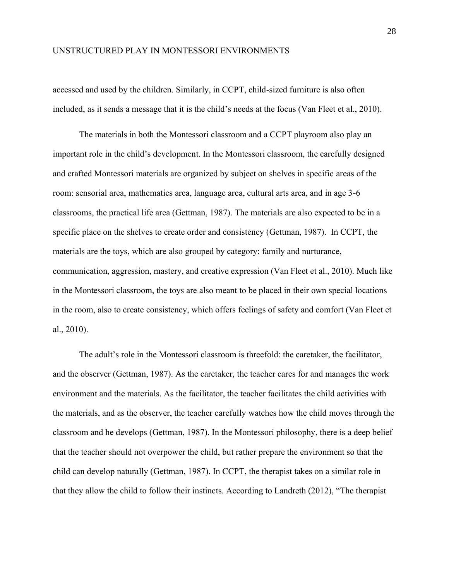accessed and used by the children. Similarly, in CCPT, child-sized furniture is also often included, as it sends a message that it is the child's needs at the focus (Van Fleet et al., 2010).

The materials in both the Montessori classroom and a CCPT playroom also play an important role in the child's development. In the Montessori classroom, the carefully designed and crafted Montessori materials are organized by subject on shelves in specific areas of the room: sensorial area, mathematics area, language area, cultural arts area, and in age 3-6 classrooms, the practical life area (Gettman, 1987). The materials are also expected to be in a specific place on the shelves to create order and consistency (Gettman, 1987). In CCPT, the materials are the toys, which are also grouped by category: family and nurturance, communication, aggression, mastery, and creative expression (Van Fleet et al., 2010). Much like in the Montessori classroom, the toys are also meant to be placed in their own special locations in the room, also to create consistency, which offers feelings of safety and comfort (Van Fleet et al., 2010).

The adult's role in the Montessori classroom is threefold: the caretaker, the facilitator, and the observer (Gettman, 1987). As the caretaker, the teacher cares for and manages the work environment and the materials. As the facilitator, the teacher facilitates the child activities with the materials, and as the observer, the teacher carefully watches how the child moves through the classroom and he develops (Gettman, 1987). In the Montessori philosophy, there is a deep belief that the teacher should not overpower the child, but rather prepare the environment so that the child can develop naturally (Gettman, 1987). In CCPT, the therapist takes on a similar role in that they allow the child to follow their instincts. According to Landreth (2012), "The therapist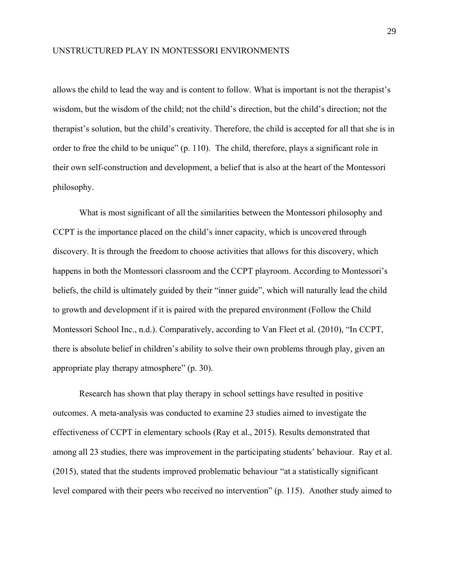allows the child to lead the way and is content to follow. What is important is not the therapist's wisdom, but the wisdom of the child; not the child's direction, but the child's direction; not the therapist's solution, but the child's creativity. Therefore, the child is accepted for all that she is in order to free the child to be unique" (p. 110). The child, therefore, plays a significant role in their own self-construction and development, a belief that is also at the heart of the Montessori philosophy.

What is most significant of all the similarities between the Montessori philosophy and CCPT is the importance placed on the child's inner capacity, which is uncovered through discovery. It is through the freedom to choose activities that allows for this discovery, which happens in both the Montessori classroom and the CCPT playroom. According to Montessori's beliefs, the child is ultimately guided by their "inner guide", which will naturally lead the child to growth and development if it is paired with the prepared environment (Follow the Child Montessori School Inc., n.d.). Comparatively, according to Van Fleet et al. (2010), "In CCPT, there is absolute belief in children's ability to solve their own problems through play, given an appropriate play therapy atmosphere" (p. 30).

Research has shown that play therapy in school settings have resulted in positive outcomes. A meta-analysis was conducted to examine 23 studies aimed to investigate the effectiveness of CCPT in elementary schools (Ray et al., 2015). Results demonstrated that among all 23 studies, there was improvement in the participating students' behaviour. Ray et al. (2015), stated that the students improved problematic behaviour "at a statistically significant level compared with their peers who received no intervention" (p. 115). Another study aimed to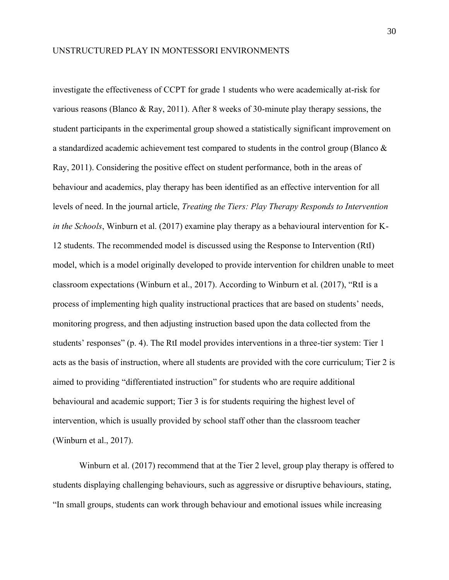investigate the effectiveness of CCPT for grade 1 students who were academically at-risk for various reasons (Blanco & Ray, 2011). After 8 weeks of 30-minute play therapy sessions, the student participants in the experimental group showed a statistically significant improvement on a standardized academic achievement test compared to students in the control group (Blanco & Ray, 2011). Considering the positive effect on student performance, both in the areas of behaviour and academics, play therapy has been identified as an effective intervention for all levels of need. In the journal article, *Treating the Tiers: Play Therapy Responds to Intervention in the Schools*, Winburn et al. (2017) examine play therapy as a behavioural intervention for K-12 students. The recommended model is discussed using the Response to Intervention (RtI) model, which is a model originally developed to provide intervention for children unable to meet classroom expectations (Winburn et al., 2017). According to Winburn et al. (2017), "RtI is a process of implementing high quality instructional practices that are based on students' needs, monitoring progress, and then adjusting instruction based upon the data collected from the students' responses" (p. 4). The RtI model provides interventions in a three-tier system: Tier 1 acts as the basis of instruction, where all students are provided with the core curriculum; Tier 2 is aimed to providing "differentiated instruction" for students who are require additional behavioural and academic support; Tier 3 is for students requiring the highest level of intervention, which is usually provided by school staff other than the classroom teacher (Winburn et al., 2017).

Winburn et al. (2017) recommend that at the Tier 2 level, group play therapy is offered to students displaying challenging behaviours, such as aggressive or disruptive behaviours, stating, "In small groups, students can work through behaviour and emotional issues while increasing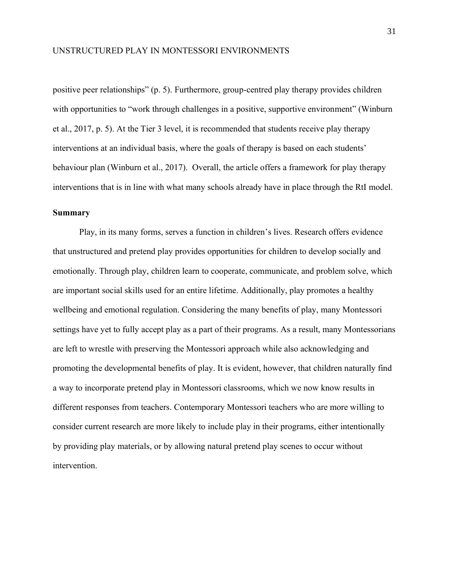positive peer relationships" (p. 5). Furthermore, group-centred play therapy provides children with opportunities to "work through challenges in a positive, supportive environment" (Winburn et al., 2017, p. 5). At the Tier 3 level, it is recommended that students receive play therapy interventions at an individual basis, where the goals of therapy is based on each students' behaviour plan (Winburn et al., 2017). Overall, the article offers a framework for play therapy interventions that is in line with what many schools already have in place through the RtI model.

#### <span id="page-38-0"></span>**Summary**

Play, in its many forms, serves a function in children's lives. Research offers evidence that unstructured and pretend play provides opportunities for children to develop socially and emotionally. Through play, children learn to cooperate, communicate, and problem solve, which are important social skills used for an entire lifetime. Additionally, play promotes a healthy wellbeing and emotional regulation. Considering the many benefits of play, many Montessori settings have yet to fully accept play as a part of their programs. As a result, many Montessorians are left to wrestle with preserving the Montessori approach while also acknowledging and promoting the developmental benefits of play. It is evident, however, that children naturally find a way to incorporate pretend play in Montessori classrooms, which we now know results in different responses from teachers. Contemporary Montessori teachers who are more willing to consider current research are more likely to include play in their programs, either intentionally by providing play materials, or by allowing natural pretend play scenes to occur without intervention.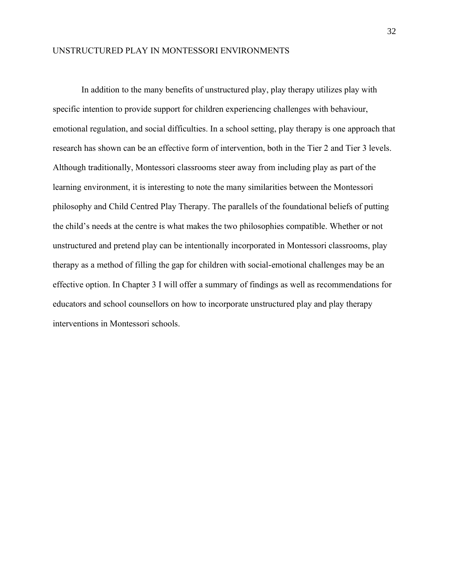In addition to the many benefits of unstructured play, play therapy utilizes play with specific intention to provide support for children experiencing challenges with behaviour, emotional regulation, and social difficulties. In a school setting, play therapy is one approach that research has shown can be an effective form of intervention, both in the Tier 2 and Tier 3 levels. Although traditionally, Montessori classrooms steer away from including play as part of the learning environment, it is interesting to note the many similarities between the Montessori philosophy and Child Centred Play Therapy. The parallels of the foundational beliefs of putting the child's needs at the centre is what makes the two philosophies compatible. Whether or not unstructured and pretend play can be intentionally incorporated in Montessori classrooms, play therapy as a method of filling the gap for children with social-emotional challenges may be an effective option. In Chapter 3 I will offer a summary of findings as well as recommendations for educators and school counsellors on how to incorporate unstructured play and play therapy interventions in Montessori schools.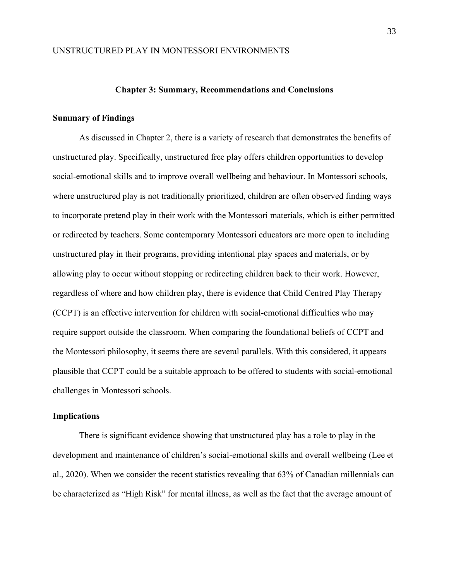#### **Chapter 3: Summary, Recommendations and Conclusions**

#### <span id="page-40-1"></span><span id="page-40-0"></span>**Summary of Findings**

As discussed in Chapter 2, there is a variety of research that demonstrates the benefits of unstructured play. Specifically, unstructured free play offers children opportunities to develop social-emotional skills and to improve overall wellbeing and behaviour. In Montessori schools, where unstructured play is not traditionally prioritized, children are often observed finding ways to incorporate pretend play in their work with the Montessori materials, which is either permitted or redirected by teachers. Some contemporary Montessori educators are more open to including unstructured play in their programs, providing intentional play spaces and materials, or by allowing play to occur without stopping or redirecting children back to their work. However, regardless of where and how children play, there is evidence that Child Centred Play Therapy (CCPT) is an effective intervention for children with social-emotional difficulties who may require support outside the classroom. When comparing the foundational beliefs of CCPT and the Montessori philosophy, it seems there are several parallels. With this considered, it appears plausible that CCPT could be a suitable approach to be offered to students with social-emotional challenges in Montessori schools.

#### <span id="page-40-2"></span>**Implications**

There is significant evidence showing that unstructured play has a role to play in the development and maintenance of children's social-emotional skills and overall wellbeing (Lee et al., 2020). When we consider the recent statistics revealing that 63% of Canadian millennials can be characterized as "High Risk" for mental illness, as well as the fact that the average amount of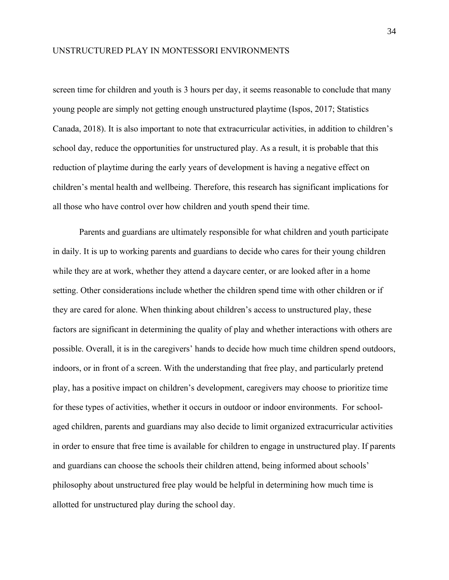screen time for children and youth is 3 hours per day, it seems reasonable to conclude that many young people are simply not getting enough unstructured playtime (Ispos, 2017; Statistics Canada, 2018). It is also important to note that extracurricular activities, in addition to children's school day, reduce the opportunities for unstructured play. As a result, it is probable that this reduction of playtime during the early years of development is having a negative effect on children's mental health and wellbeing. Therefore, this research has significant implications for all those who have control over how children and youth spend their time.

Parents and guardians are ultimately responsible for what children and youth participate in daily. It is up to working parents and guardians to decide who cares for their young children while they are at work, whether they attend a daycare center, or are looked after in a home setting. Other considerations include whether the children spend time with other children or if they are cared for alone. When thinking about children's access to unstructured play, these factors are significant in determining the quality of play and whether interactions with others are possible. Overall, it is in the caregivers' hands to decide how much time children spend outdoors, indoors, or in front of a screen. With the understanding that free play, and particularly pretend play, has a positive impact on children's development, caregivers may choose to prioritize time for these types of activities, whether it occurs in outdoor or indoor environments. For schoolaged children, parents and guardians may also decide to limit organized extracurricular activities in order to ensure that free time is available for children to engage in unstructured play. If parents and guardians can choose the schools their children attend, being informed about schools' philosophy about unstructured free play would be helpful in determining how much time is allotted for unstructured play during the school day.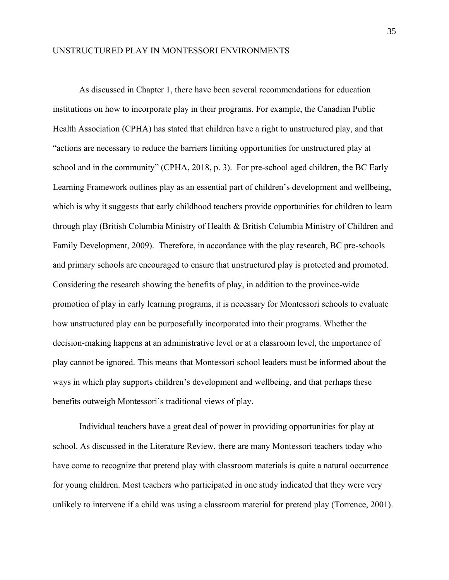As discussed in Chapter 1, there have been several recommendations for education institutions on how to incorporate play in their programs. For example, the Canadian Public Health Association (CPHA) has stated that children have a right to unstructured play, and that "actions are necessary to reduce the barriers limiting opportunities for unstructured play at school and in the community" (CPHA, 2018, p. 3). For pre-school aged children, the BC Early Learning Framework outlines play as an essential part of children's development and wellbeing, which is why it suggests that early childhood teachers provide opportunities for children to learn through play (British Columbia Ministry of Health & British Columbia Ministry of Children and Family Development, 2009). Therefore, in accordance with the play research, BC pre-schools and primary schools are encouraged to ensure that unstructured play is protected and promoted. Considering the research showing the benefits of play, in addition to the province-wide promotion of play in early learning programs, it is necessary for Montessori schools to evaluate how unstructured play can be purposefully incorporated into their programs. Whether the decision-making happens at an administrative level or at a classroom level, the importance of play cannot be ignored. This means that Montessori school leaders must be informed about the ways in which play supports children's development and wellbeing, and that perhaps these benefits outweigh Montessori's traditional views of play.

Individual teachers have a great deal of power in providing opportunities for play at school. As discussed in the Literature Review, there are many Montessori teachers today who have come to recognize that pretend play with classroom materials is quite a natural occurrence for young children. Most teachers who participated in one study indicated that they were very unlikely to intervene if a child was using a classroom material for pretend play (Torrence, 2001).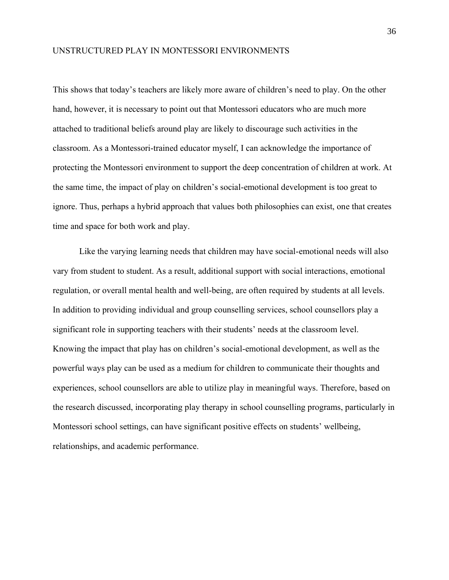This shows that today's teachers are likely more aware of children's need to play. On the other hand, however, it is necessary to point out that Montessori educators who are much more attached to traditional beliefs around play are likely to discourage such activities in the classroom. As a Montessori-trained educator myself, I can acknowledge the importance of protecting the Montessori environment to support the deep concentration of children at work. At the same time, the impact of play on children's social-emotional development is too great to ignore. Thus, perhaps a hybrid approach that values both philosophies can exist, one that creates time and space for both work and play.

Like the varying learning needs that children may have social-emotional needs will also vary from student to student. As a result, additional support with social interactions, emotional regulation, or overall mental health and well-being, are often required by students at all levels. In addition to providing individual and group counselling services, school counsellors play a significant role in supporting teachers with their students' needs at the classroom level. Knowing the impact that play has on children's social-emotional development, as well as the powerful ways play can be used as a medium for children to communicate their thoughts and experiences, school counsellors are able to utilize play in meaningful ways. Therefore, based on the research discussed, incorporating play therapy in school counselling programs, particularly in Montessori school settings, can have significant positive effects on students' wellbeing, relationships, and academic performance.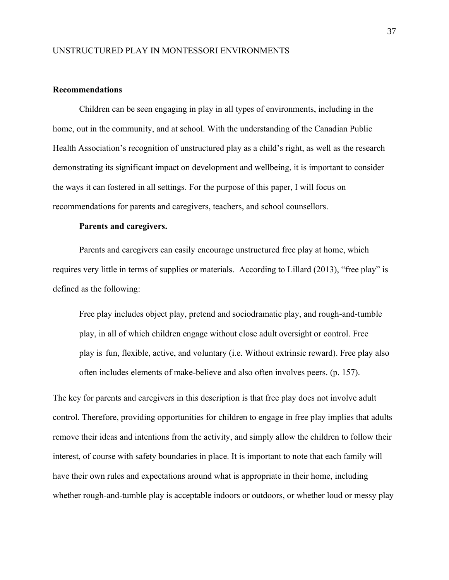#### <span id="page-44-0"></span>**Recommendations**

Children can be seen engaging in play in all types of environments, including in the home, out in the community, and at school. With the understanding of the Canadian Public Health Association's recognition of unstructured play as a child's right, as well as the research demonstrating its significant impact on development and wellbeing, it is important to consider the ways it can fostered in all settings. For the purpose of this paper, I will focus on recommendations for parents and caregivers, teachers, and school counsellors.

#### **Parents and caregivers.**

<span id="page-44-1"></span>Parents and caregivers can easily encourage unstructured free play at home, which requires very little in terms of supplies or materials. According to Lillard (2013), "free play" is defined as the following:

Free play includes object play, pretend and sociodramatic play, and rough-and-tumble play, in all of which children engage without close adult oversight or control. Free play is fun, flexible, active, and voluntary (i.e. Without extrinsic reward). Free play also often includes elements of make-believe and also often involves peers. (p. 157).

The key for parents and caregivers in this description is that free play does not involve adult control. Therefore, providing opportunities for children to engage in free play implies that adults remove their ideas and intentions from the activity, and simply allow the children to follow their interest, of course with safety boundaries in place. It is important to note that each family will have their own rules and expectations around what is appropriate in their home, including whether rough-and-tumble play is acceptable indoors or outdoors, or whether loud or messy play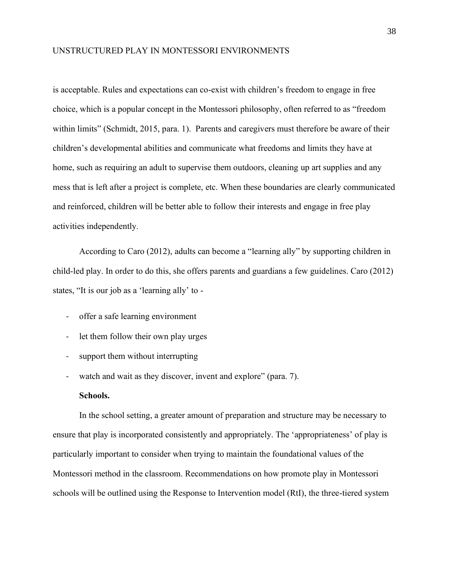is acceptable. Rules and expectations can co-exist with children's freedom to engage in free choice, which is a popular concept in the Montessori philosophy, often referred to as "freedom within limits" (Schmidt, 2015, para. 1). Parents and caregivers must therefore be aware of their children's developmental abilities and communicate what freedoms and limits they have at home, such as requiring an adult to supervise them outdoors, cleaning up art supplies and any mess that is left after a project is complete, etc. When these boundaries are clearly communicated and reinforced, children will be better able to follow their interests and engage in free play activities independently.

According to Caro (2012), adults can become a "learning ally" by supporting children in child-led play. In order to do this, she offers parents and guardians a few guidelines. Caro (2012) states, "It is our job as a 'learning ally' to -

- offer a safe learning environment
- let them follow their own play urges
- support them without interrupting
- watch and wait as they discover, invent and explore" (para. 7).

#### **Schools.**

<span id="page-45-0"></span>In the school setting, a greater amount of preparation and structure may be necessary to ensure that play is incorporated consistently and appropriately. The 'appropriateness' of play is particularly important to consider when trying to maintain the foundational values of the Montessori method in the classroom. Recommendations on how promote play in Montessori schools will be outlined using the Response to Intervention model (RtI), the three-tiered system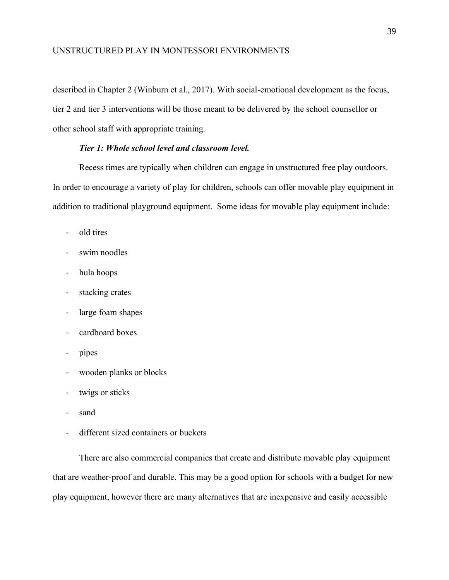described in Chapter 2 (Winburn et al., 2017). With social-emotional development as the focus, tier 2 and tier 3 interventions will be those meant to be delivered by the school counsellor or other school staff with appropriate training.

#### *Tier 1: Whole school level and classroom level.*

<span id="page-46-0"></span>Recess times are typically when children can engage in unstructured free play outdoors. In order to encourage a variety of play for children, schools can offer movable play equipment in addition to traditional playground equipment. Some ideas for movable play equipment include:

- old tires
- swim noodles
- hula hoops
- stacking crates
- large foam shapes
- cardboard boxes
- pipes
- wooden planks or blocks
- twigs or sticks
- sand
- different sized containers or buckets

There are also commercial companies that create and distribute movable play equipment that are weather-proof and durable. This may be a good option for schools with a budget for new play equipment, however there are many alternatives that are inexpensive and easily accessible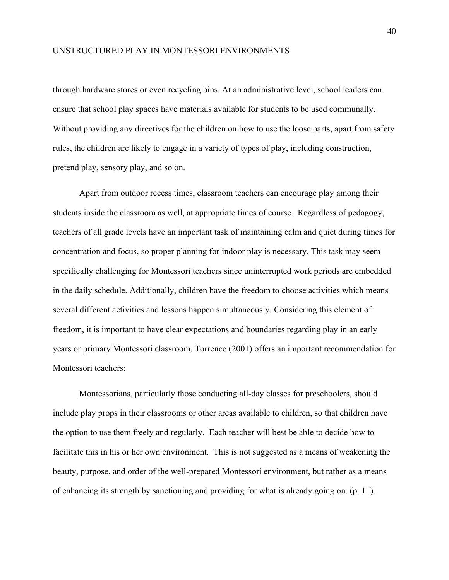through hardware stores or even recycling bins. At an administrative level, school leaders can ensure that school play spaces have materials available for students to be used communally. Without providing any directives for the children on how to use the loose parts, apart from safety rules, the children are likely to engage in a variety of types of play, including construction, pretend play, sensory play, and so on.

Apart from outdoor recess times, classroom teachers can encourage play among their students inside the classroom as well, at appropriate times of course. Regardless of pedagogy, teachers of all grade levels have an important task of maintaining calm and quiet during times for concentration and focus, so proper planning for indoor play is necessary. This task may seem specifically challenging for Montessori teachers since uninterrupted work periods are embedded in the daily schedule. Additionally, children have the freedom to choose activities which means several different activities and lessons happen simultaneously. Considering this element of freedom, it is important to have clear expectations and boundaries regarding play in an early years or primary Montessori classroom. Torrence (2001) offers an important recommendation for Montessori teachers:

Montessorians, particularly those conducting all-day classes for preschoolers, should include play props in their classrooms or other areas available to children, so that children have the option to use them freely and regularly. Each teacher will best be able to decide how to facilitate this in his or her own environment. This is not suggested as a means of weakening the beauty, purpose, and order of the well-prepared Montessori environment, but rather as a means of enhancing its strength by sanctioning and providing for what is already going on. (p. 11).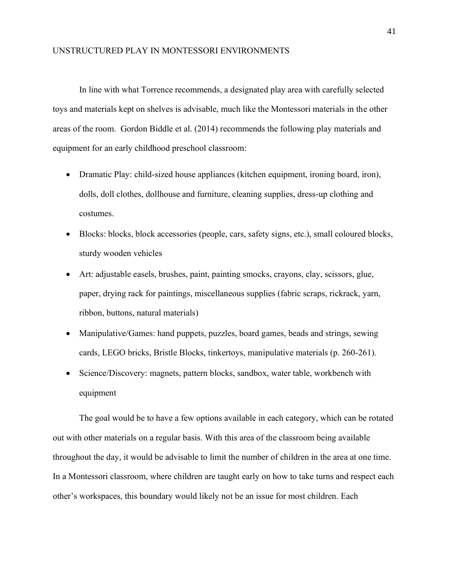In line with what Torrence recommends, a designated play area with carefully selected toys and materials kept on shelves is advisable, much like the Montessori materials in the other areas of the room. Gordon Biddle et al. (2014) recommends the following play materials and equipment for an early childhood preschool classroom:

- Dramatic Play: child-sized house appliances (kitchen equipment, ironing board, iron), dolls, doll clothes, dollhouse and furniture, cleaning supplies, dress-up clothing and costumes.
- Blocks: blocks, block accessories (people, cars, safety signs, etc.), small coloured blocks, sturdy wooden vehicles
- Art: adjustable easels, brushes, paint, painting smocks, crayons, clay, scissors, glue, paper, drying rack for paintings, miscellaneous supplies (fabric scraps, rickrack, yarn, ribbon, buttons, natural materials)
- Manipulative/Games: hand puppets, puzzles, board games, beads and strings, sewing cards, LEGO bricks, Bristle Blocks, tinkertoys, manipulative materials (p. 260-261).
- Science/Discovery: magnets, pattern blocks, sandbox, water table, workbench with equipment

The goal would be to have a few options available in each category, which can be rotated out with other materials on a regular basis. With this area of the classroom being available throughout the day, it would be advisable to limit the number of children in the area at one time. In a Montessori classroom, where children are taught early on how to take turns and respect each other's workspaces, this boundary would likely not be an issue for most children. Each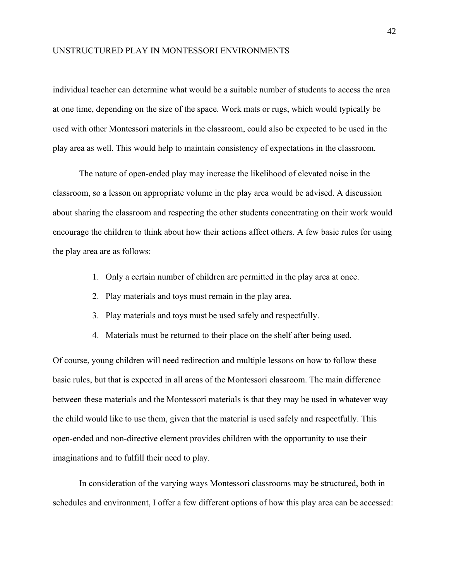individual teacher can determine what would be a suitable number of students to access the area at one time, depending on the size of the space. Work mats or rugs, which would typically be used with other Montessori materials in the classroom, could also be expected to be used in the play area as well. This would help to maintain consistency of expectations in the classroom.

The nature of open-ended play may increase the likelihood of elevated noise in the classroom, so a lesson on appropriate volume in the play area would be advised. A discussion about sharing the classroom and respecting the other students concentrating on their work would encourage the children to think about how their actions affect others. A few basic rules for using the play area are as follows:

- 1. Only a certain number of children are permitted in the play area at once.
- 2. Play materials and toys must remain in the play area.
- 3. Play materials and toys must be used safely and respectfully.
- 4. Materials must be returned to their place on the shelf after being used.

Of course, young children will need redirection and multiple lessons on how to follow these basic rules, but that is expected in all areas of the Montessori classroom. The main difference between these materials and the Montessori materials is that they may be used in whatever way the child would like to use them, given that the material is used safely and respectfully. This open-ended and non-directive element provides children with the opportunity to use their imaginations and to fulfill their need to play.

In consideration of the varying ways Montessori classrooms may be structured, both in schedules and environment, I offer a few different options of how this play area can be accessed: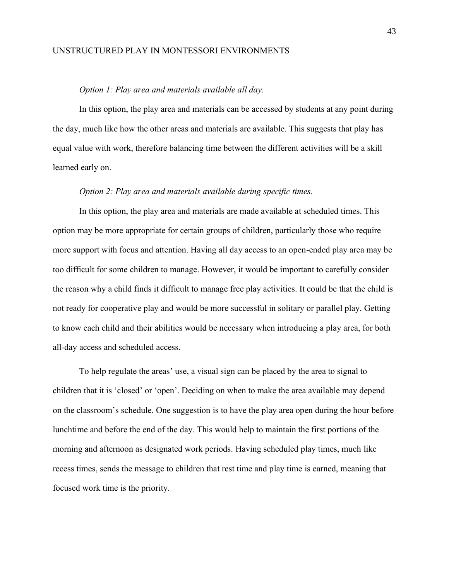#### *Option 1: Play area and materials available all day.*

<span id="page-50-0"></span>In this option, the play area and materials can be accessed by students at any point during the day, much like how the other areas and materials are available. This suggests that play has equal value with work, therefore balancing time between the different activities will be a skill learned early on.

#### *Option 2: Play area and materials available during specific times.*

<span id="page-50-1"></span>In this option, the play area and materials are made available at scheduled times. This option may be more appropriate for certain groups of children, particularly those who require more support with focus and attention. Having all day access to an open-ended play area may be too difficult for some children to manage. However, it would be important to carefully consider the reason why a child finds it difficult to manage free play activities. It could be that the child is not ready for cooperative play and would be more successful in solitary or parallel play. Getting to know each child and their abilities would be necessary when introducing a play area, for both all-day access and scheduled access.

To help regulate the areas' use, a visual sign can be placed by the area to signal to children that it is 'closed' or 'open'. Deciding on when to make the area available may depend on the classroom's schedule. One suggestion is to have the play area open during the hour before lunchtime and before the end of the day. This would help to maintain the first portions of the morning and afternoon as designated work periods. Having scheduled play times, much like recess times, sends the message to children that rest time and play time is earned, meaning that focused work time is the priority.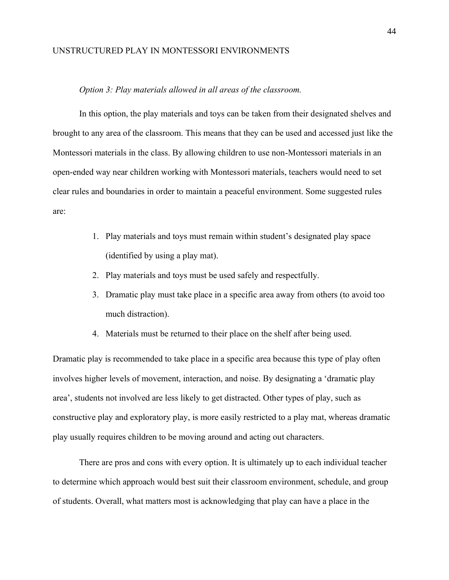#### *Option 3: Play materials allowed in all areas of the classroom.*

<span id="page-51-0"></span>In this option, the play materials and toys can be taken from their designated shelves and brought to any area of the classroom. This means that they can be used and accessed just like the Montessori materials in the class. By allowing children to use non-Montessori materials in an open-ended way near children working with Montessori materials, teachers would need to set clear rules and boundaries in order to maintain a peaceful environment. Some suggested rules are:

- 1. Play materials and toys must remain within student's designated play space (identified by using a play mat).
- 2. Play materials and toys must be used safely and respectfully.
- 3. Dramatic play must take place in a specific area away from others (to avoid too much distraction).
- 4. Materials must be returned to their place on the shelf after being used.

Dramatic play is recommended to take place in a specific area because this type of play often involves higher levels of movement, interaction, and noise. By designating a 'dramatic play area', students not involved are less likely to get distracted. Other types of play, such as constructive play and exploratory play, is more easily restricted to a play mat, whereas dramatic play usually requires children to be moving around and acting out characters.

There are pros and cons with every option. It is ultimately up to each individual teacher to determine which approach would best suit their classroom environment, schedule, and group of students. Overall, what matters most is acknowledging that play can have a place in the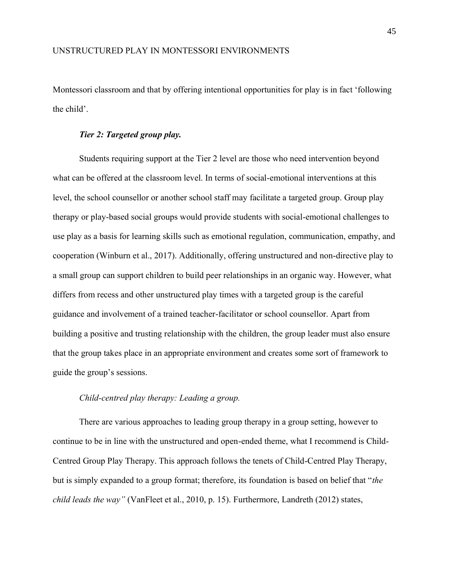Montessori classroom and that by offering intentional opportunities for play is in fact 'following the child'.

#### *Tier 2: Targeted group play.*

<span id="page-52-0"></span>Students requiring support at the Tier 2 level are those who need intervention beyond what can be offered at the classroom level. In terms of social-emotional interventions at this level, the school counsellor or another school staff may facilitate a targeted group. Group play therapy or play-based social groups would provide students with social-emotional challenges to use play as a basis for learning skills such as emotional regulation, communication, empathy, and cooperation (Winburn et al., 2017). Additionally, offering unstructured and non-directive play to a small group can support children to build peer relationships in an organic way. However, what differs from recess and other unstructured play times with a targeted group is the careful guidance and involvement of a trained teacher-facilitator or school counsellor. Apart from building a positive and trusting relationship with the children, the group leader must also ensure that the group takes place in an appropriate environment and creates some sort of framework to guide the group's sessions.

#### *Child-centred play therapy: Leading a group.*

<span id="page-52-1"></span>There are various approaches to leading group therapy in a group setting, however to continue to be in line with the unstructured and open-ended theme, what I recommend is Child-Centred Group Play Therapy. This approach follows the tenets of Child-Centred Play Therapy, but is simply expanded to a group format; therefore, its foundation is based on belief that "*the child leads the way"* (VanFleet et al., 2010, p. 15). Furthermore, Landreth (2012) states,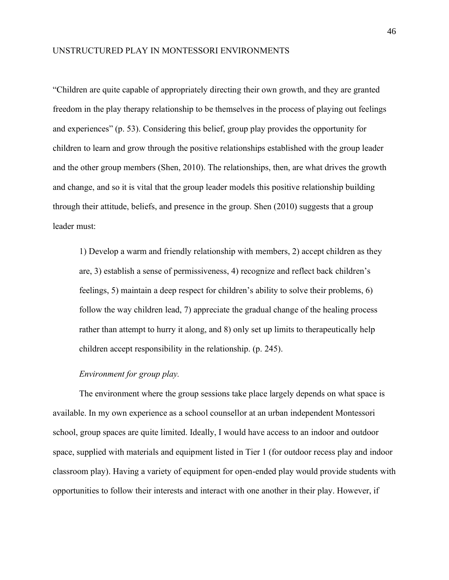"Children are quite capable of appropriately directing their own growth, and they are granted freedom in the play therapy relationship to be themselves in the process of playing out feelings and experiences" (p. 53). Considering this belief, group play provides the opportunity for children to learn and grow through the positive relationships established with the group leader and the other group members (Shen, 2010). The relationships, then, are what drives the growth and change, and so it is vital that the group leader models this positive relationship building through their attitude, beliefs, and presence in the group. Shen (2010) suggests that a group leader must:

1) Develop a warm and friendly relationship with members, 2) accept children as they are, 3) establish a sense of permissiveness, 4) recognize and reflect back children's feelings, 5) maintain a deep respect for children's ability to solve their problems, 6) follow the way children lead, 7) appreciate the gradual change of the healing process rather than attempt to hurry it along, and 8) only set up limits to therapeutically help children accept responsibility in the relationship. (p. 245).

#### *Environment for group play.*

<span id="page-53-0"></span>The environment where the group sessions take place largely depends on what space is available. In my own experience as a school counsellor at an urban independent Montessori school, group spaces are quite limited. Ideally, I would have access to an indoor and outdoor space, supplied with materials and equipment listed in Tier 1 (for outdoor recess play and indoor classroom play). Having a variety of equipment for open-ended play would provide students with opportunities to follow their interests and interact with one another in their play. However, if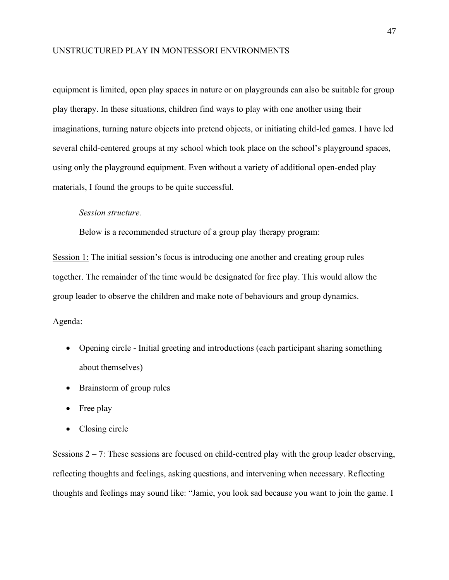equipment is limited, open play spaces in nature or on playgrounds can also be suitable for group play therapy. In these situations, children find ways to play with one another using their imaginations, turning nature objects into pretend objects, or initiating child-led games. I have led several child-centered groups at my school which took place on the school's playground spaces, using only the playground equipment. Even without a variety of additional open-ended play materials, I found the groups to be quite successful.

#### <span id="page-54-0"></span>*Session structure.*

Below is a recommended structure of a group play therapy program:

Session 1: The initial session's focus is introducing one another and creating group rules together. The remainder of the time would be designated for free play. This would allow the group leader to observe the children and make note of behaviours and group dynamics.

#### Agenda:

- Opening circle Initial greeting and introductions (each participant sharing something about themselves)
- Brainstorm of group rules
- Free play
- Closing circle

Sessions  $2 - 7$ : These sessions are focused on child-centred play with the group leader observing, reflecting thoughts and feelings, asking questions, and intervening when necessary. Reflecting thoughts and feelings may sound like: "Jamie, you look sad because you want to join the game. I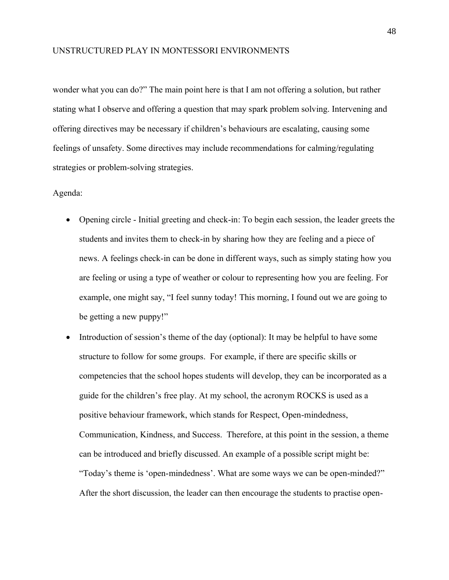wonder what you can do?" The main point here is that I am not offering a solution, but rather stating what I observe and offering a question that may spark problem solving. Intervening and offering directives may be necessary if children's behaviours are escalating, causing some feelings of unsafety. Some directives may include recommendations for calming/regulating strategies or problem-solving strategies.

#### Agenda:

- Opening circle Initial greeting and check-in: To begin each session, the leader greets the students and invites them to check-in by sharing how they are feeling and a piece of news. A feelings check-in can be done in different ways, such as simply stating how you are feeling or using a type of weather or colour to representing how you are feeling. For example, one might say, "I feel sunny today! This morning, I found out we are going to be getting a new puppy!"
- Introduction of session's theme of the day (optional): It may be helpful to have some structure to follow for some groups. For example, if there are specific skills or competencies that the school hopes students will develop, they can be incorporated as a guide for the children's free play. At my school, the acronym ROCKS is used as a positive behaviour framework, which stands for Respect, Open-mindedness, Communication, Kindness, and Success. Therefore, at this point in the session, a theme can be introduced and briefly discussed. An example of a possible script might be: "Today's theme is 'open-mindedness'. What are some ways we can be open-minded?" After the short discussion, the leader can then encourage the students to practise open-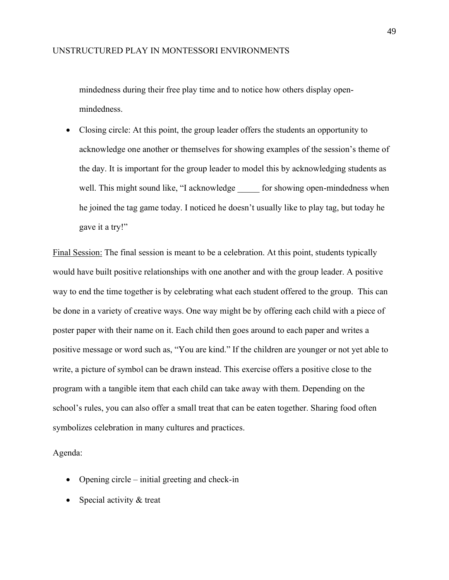mindedness during their free play time and to notice how others display openmindedness.

• Closing circle: At this point, the group leader offers the students an opportunity to acknowledge one another or themselves for showing examples of the session's theme of the day. It is important for the group leader to model this by acknowledging students as well. This might sound like, "I acknowledge for showing open-mindedness when he joined the tag game today. I noticed he doesn't usually like to play tag, but today he gave it a try!"

Final Session: The final session is meant to be a celebration. At this point, students typically would have built positive relationships with one another and with the group leader. A positive way to end the time together is by celebrating what each student offered to the group. This can be done in a variety of creative ways. One way might be by offering each child with a piece of poster paper with their name on it. Each child then goes around to each paper and writes a positive message or word such as, "You are kind." If the children are younger or not yet able to write, a picture of symbol can be drawn instead. This exercise offers a positive close to the program with a tangible item that each child can take away with them. Depending on the school's rules, you can also offer a small treat that can be eaten together. Sharing food often symbolizes celebration in many cultures and practices.

Agenda:

- Opening circle initial greeting and check-in
- Special activity & treat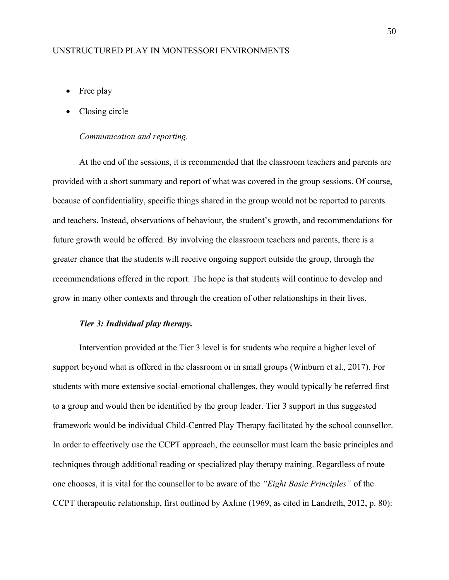- Free play
- Closing circle

#### *Communication and reporting.*

<span id="page-57-0"></span>At the end of the sessions, it is recommended that the classroom teachers and parents are provided with a short summary and report of what was covered in the group sessions. Of course, because of confidentiality, specific things shared in the group would not be reported to parents and teachers. Instead, observations of behaviour, the student's growth, and recommendations for future growth would be offered. By involving the classroom teachers and parents, there is a greater chance that the students will receive ongoing support outside the group, through the recommendations offered in the report. The hope is that students will continue to develop and grow in many other contexts and through the creation of other relationships in their lives.

#### *Tier 3: Individual play therapy.*

<span id="page-57-1"></span>Intervention provided at the Tier 3 level is for students who require a higher level of support beyond what is offered in the classroom or in small groups (Winburn et al., 2017). For students with more extensive social-emotional challenges, they would typically be referred first to a group and would then be identified by the group leader. Tier 3 support in this suggested framework would be individual Child-Centred Play Therapy facilitated by the school counsellor. In order to effectively use the CCPT approach, the counsellor must learn the basic principles and techniques through additional reading or specialized play therapy training. Regardless of route one chooses, it is vital for the counsellor to be aware of the *"Eight Basic Principles"* of the CCPT therapeutic relationship, first outlined by Axline (1969, as cited in Landreth, 2012, p. 80):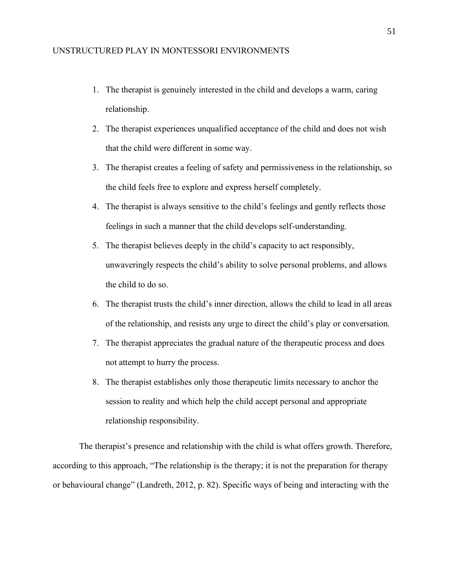- 1. The therapist is genuinely interested in the child and develops a warm, caring relationship.
- 2. The therapist experiences unqualified acceptance of the child and does not wish that the child were different in some way.
- 3. The therapist creates a feeling of safety and permissiveness in the relationship, so the child feels free to explore and express herself completely.
- 4. The therapist is always sensitive to the child's feelings and gently reflects those feelings in such a manner that the child develops self-understanding.
- 5. The therapist believes deeply in the child's capacity to act responsibly, unwaveringly respects the child's ability to solve personal problems, and allows the child to do so.
- 6. The therapist trusts the child's inner direction, allows the child to lead in all areas of the relationship, and resists any urge to direct the child's play or conversation.
- 7. The therapist appreciates the gradual nature of the therapeutic process and does not attempt to hurry the process.
- 8. The therapist establishes only those therapeutic limits necessary to anchor the session to reality and which help the child accept personal and appropriate relationship responsibility.

The therapist's presence and relationship with the child is what offers growth. Therefore, according to this approach, "The relationship is the therapy; it is not the preparation for therapy or behavioural change" (Landreth, 2012, p. 82). Specific ways of being and interacting with the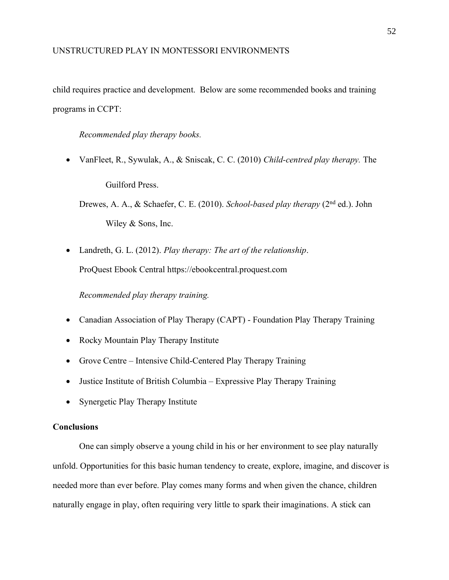child requires practice and development. Below are some recommended books and training programs in CCPT:

<span id="page-59-0"></span>*Recommended play therapy books.*

• VanFleet, R., Sywulak, A., & Sniscak, C. C. (2010) *Child-centred play therapy.* The

Guilford Press.

Drewes, A. A., & Schaefer, C. E. (2010). *School-based play therapy* (2nd ed.). John Wiley & Sons, Inc.

• Landreth, G. L. (2012). *Play therapy: The art of the relationship*. ProQuest Ebook Central https://ebookcentral.proquest.com

<span id="page-59-1"></span>*Recommended play therapy training.*

- Canadian Association of Play Therapy (CAPT) Foundation Play Therapy Training
- Rocky Mountain Play Therapy Institute
- Grove Centre Intensive Child-Centered Play Therapy Training
- Justice Institute of British Columbia Expressive Play Therapy Training
- Synergetic Play Therapy Institute

#### <span id="page-59-2"></span>**Conclusions**

One can simply observe a young child in his or her environment to see play naturally unfold. Opportunities for this basic human tendency to create, explore, imagine, and discover is needed more than ever before. Play comes many forms and when given the chance, children naturally engage in play, often requiring very little to spark their imaginations. A stick can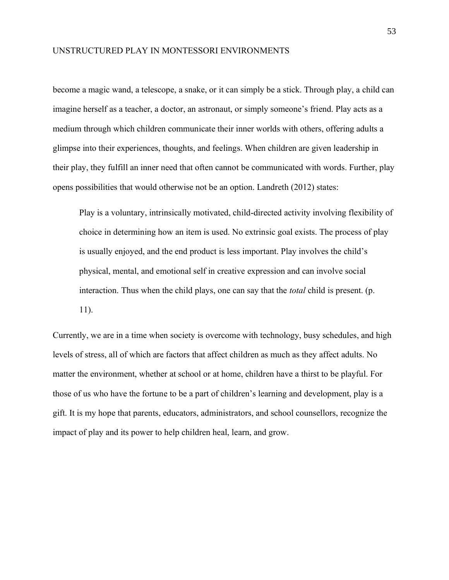become a magic wand, a telescope, a snake, or it can simply be a stick. Through play, a child can imagine herself as a teacher, a doctor, an astronaut, or simply someone's friend. Play acts as a medium through which children communicate their inner worlds with others, offering adults a glimpse into their experiences, thoughts, and feelings. When children are given leadership in their play, they fulfill an inner need that often cannot be communicated with words. Further, play opens possibilities that would otherwise not be an option. Landreth (2012) states:

Play is a voluntary, intrinsically motivated, child-directed activity involving flexibility of choice in determining how an item is used. No extrinsic goal exists. The process of play is usually enjoyed, and the end product is less important. Play involves the child's physical, mental, and emotional self in creative expression and can involve social interaction. Thus when the child plays, one can say that the *total* child is present. (p. 11).

Currently, we are in a time when society is overcome with technology, busy schedules, and high levels of stress, all of which are factors that affect children as much as they affect adults. No matter the environment, whether at school or at home, children have a thirst to be playful. For those of us who have the fortune to be a part of children's learning and development, play is a gift. It is my hope that parents, educators, administrators, and school counsellors, recognize the impact of play and its power to help children heal, learn, and grow.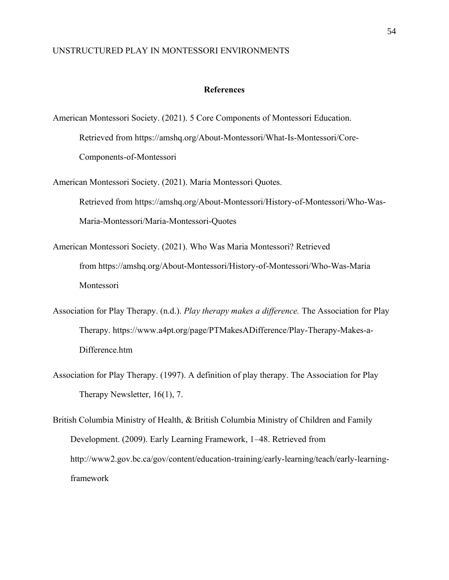#### **References**

- <span id="page-61-0"></span>American Montessori Society. (2021). 5 Core Components of Montessori Education. Retrieved from https://amshq.org/About-Montessori/What-Is-Montessori/Core-Components-of-Montessori
- American Montessori Society. (2021). Maria Montessori Quotes. Retrieved from https://amshq.org/About-Montessori/History-of-Montessori/Who-Was-Maria-Montessori/Maria-Montessori-Quotes
- American Montessori Society. (2021). Who Was Maria Montessori? Retrieved from https://amshq.org/About-Montessori/History-of-Montessori/Who-Was-Maria Montessori
- Association for Play Therapy. (n.d.). *Play therapy makes a difference.* The Association for Play Therapy. https://www.a4pt.org/page/PTMakesADifference/Play-Therapy-Makes-a-Difference.htm
- Association for Play Therapy. (1997). A definition of play therapy. The Association for Play Therapy Newsletter, 16(1), 7.

British Columbia Ministry of Health, & British Columbia Ministry of Children and Family Development. (2009). Early Learning Framework, 1–48. Retrieved from http://www2.gov.bc.ca/gov/content/education-training/early-learning/teach/early-learningframework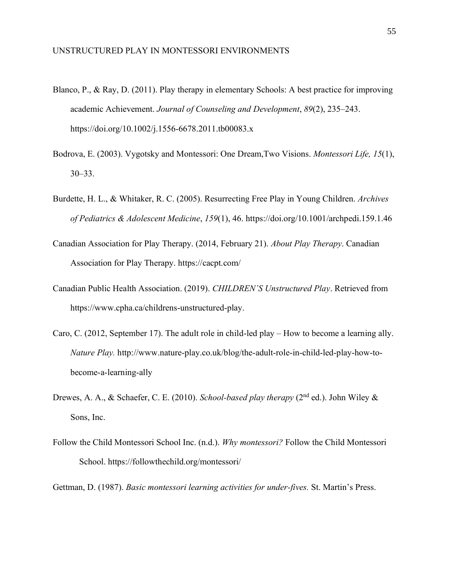- Blanco, P., & Ray, D. (2011). Play therapy in elementary Schools: A best practice for improving academic Achievement. *Journal of Counseling and Development*, *89*(2), 235–243. https://doi.org/10.1002/j.1556-6678.2011.tb00083.x
- Bodrova, E. (2003). Vygotsky and Montessori: One Dream,Two Visions. *Montessori Life, 15*(1), 30–33.
- Burdette, H. L., & Whitaker, R. C. (2005). Resurrecting Free Play in Young Children. *Archives of Pediatrics & Adolescent Medicine*, *159*(1), 46. https://doi.org/10.1001/archpedi.159.1.46
- Canadian Association for Play Therapy. (2014, February 21). *About Play Therapy*. Canadian Association for Play Therapy. https://cacpt.com/
- Canadian Public Health Association. (2019). *CHILDREN'S Unstructured Play*. Retrieved from https://www.cpha.ca/childrens-unstructured-play.
- Caro, C. (2012, September 17). The adult role in child-led play How to become a learning ally. *Nature Play.* http://www.nature-play.co.uk/blog/the-adult-role-in-child-led-play-how-tobecome-a-learning-ally
- Drewes, A. A., & Schaefer, C. E. (2010). *School-based play therapy* (2nd ed.). John Wiley & Sons, Inc.
- Follow the Child Montessori School Inc. (n.d.). *Why montessori?* Follow the Child Montessori School. https://followthechild.org/montessori/

Gettman, D. (1987). *Basic montessori learning activities for under-fives.* St. Martin's Press.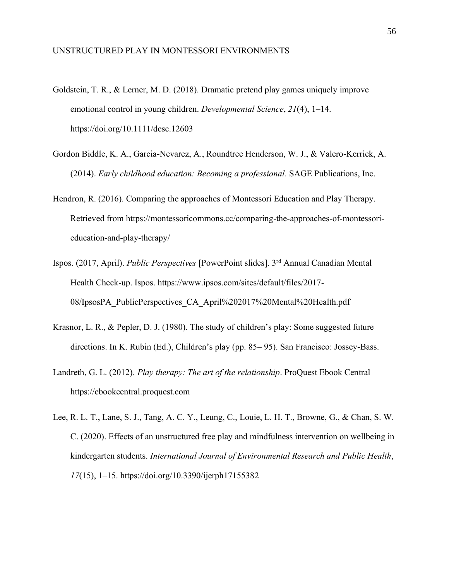- Goldstein, T. R., & Lerner, M. D. (2018). Dramatic pretend play games uniquely improve emotional control in young children. *Developmental Science*, *21*(4), 1–14. https://doi.org/10.1111/desc.12603
- Gordon Biddle, K. A., Garcia-Nevarez, A., Roundtree Henderson, W. J., & Valero-Kerrick, A. (2014). *Early childhood education: Becoming a professional.* SAGE Publications, Inc.
- Hendron, R. (2016). Comparing the approaches of Montessori Education and Play Therapy. Retrieved from https://montessoricommons.cc/comparing-the-approaches-of-montessorieducation-and-play-therapy/
- Ispos. (2017, April). *Public Perspectives* [PowerPoint slides]. 3rd Annual Canadian Mental Health Check-up. Ispos. https://www.ipsos.com/sites/default/files/2017- 08/IpsosPA\_PublicPerspectives\_CA\_April%202017%20Mental%20Health.pdf
- Krasnor, L. R., & Pepler, D. J. (1980). The study of children's play: Some suggested future directions. In K. Rubin (Ed.), Children's play (pp. 85– 95). San Francisco: Jossey-Bass.
- Landreth, G. L. (2012). *Play therapy: The art of the relationship*. ProQuest Ebook Central https://ebookcentral.proquest.com
- Lee, R. L. T., Lane, S. J., Tang, A. C. Y., Leung, C., Louie, L. H. T., Browne, G., & Chan, S. W. C. (2020). Effects of an unstructured free play and mindfulness intervention on wellbeing in kindergarten students. *International Journal of Environmental Research and Public Health*, *17*(15), 1–15. https://doi.org/10.3390/ijerph17155382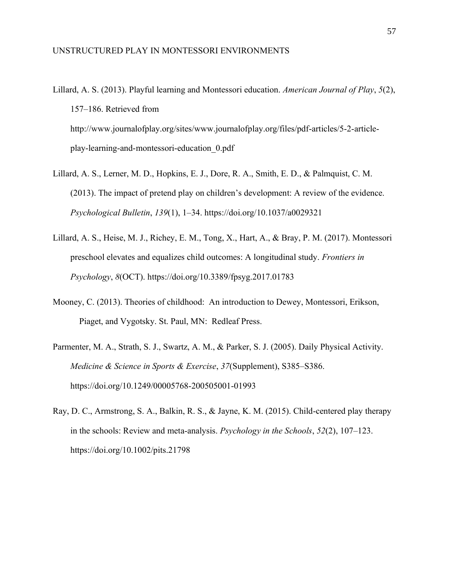- Lillard, A. S. (2013). Playful learning and Montessori education. *American Journal of Play*, *5*(2), 157–186. Retrieved from http://www.journalofplay.org/sites/www.journalofplay.org/files/pdf-articles/5-2-articleplay-learning-and-montessori-education\_0.pdf
- Lillard, A. S., Lerner, M. D., Hopkins, E. J., Dore, R. A., Smith, E. D., & Palmquist, C. M. (2013). The impact of pretend play on children's development: A review of the evidence. *Psychological Bulletin*, *139*(1), 1–34. https://doi.org/10.1037/a0029321
- Lillard, A. S., Heise, M. J., Richey, E. M., Tong, X., Hart, A., & Bray, P. M. (2017). Montessori preschool elevates and equalizes child outcomes: A longitudinal study. *Frontiers in Psychology*, *8*(OCT). https://doi.org/10.3389/fpsyg.2017.01783
- Mooney, C. (2013). Theories of childhood: An introduction to Dewey, Montessori, Erikson, Piaget, and Vygotsky. St. Paul, MN: Redleaf Press.
- Parmenter, M. A., Strath, S. J., Swartz, A. M., & Parker, S. J. (2005). Daily Physical Activity. *Medicine & Science in Sports & Exercise*, *37*(Supplement), S385–S386. https://doi.org/10.1249/00005768-200505001-01993
- Ray, D. C., Armstrong, S. A., Balkin, R. S., & Jayne, K. M. (2015). Child-centered play therapy in the schools: Review and meta-analysis. *Psychology in the Schools*, *52*(2), 107–123. https://doi.org/10.1002/pits.21798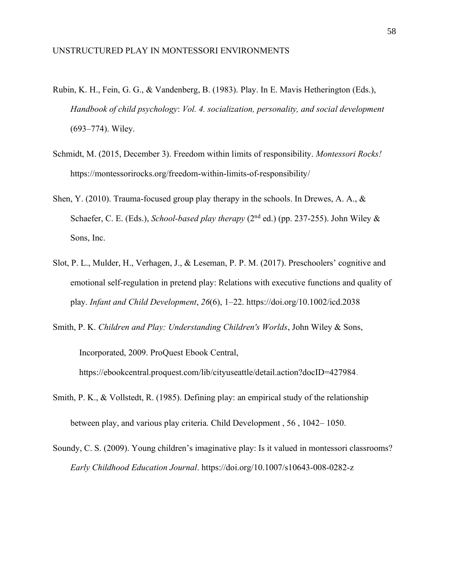- Rubin, K. H., Fein, G. G., & Vandenberg, B. (1983). Play. In E. Mavis Hetherington (Eds.), *Handbook of child psychology*: *Vol. 4. socialization, personality, and social development*  (693–774). Wiley.
- Schmidt, M. (2015, December 3). Freedom within limits of responsibility. *Montessori Rocks!* https://montessorirocks.org/freedom-within-limits-of-responsibility/
- Shen, Y. (2010). Trauma-focused group play therapy in the schools. In Drewes, A. A., & Schaefer, C. E. (Eds.), *School-based play therapy* (2<sup>nd</sup> ed.) (pp. 237-255). John Wiley & Sons, Inc.
- Slot, P. L., Mulder, H., Verhagen, J., & Leseman, P. P. M. (2017). Preschoolers' cognitive and emotional self-regulation in pretend play: Relations with executive functions and quality of play. *Infant and Child Development*, *26*(6), 1–22. https://doi.org/10.1002/icd.2038
- Smith, P. K. *Children and Play: Understanding Children's Worlds*, John Wiley & Sons,

Incorporated, 2009. ProQuest Ebook Central, https://ebookcentral.proquest.com/lib/cityuseattle/detail.action?docID=427984.

- Smith, P. K., & Vollstedt, R. (1985). Defining play: an empirical study of the relationship between play, and various play criteria. Child Development , 56 , 1042– 1050.
- Soundy, C. S. (2009). Young children's imaginative play: Is it valued in montessori classrooms? *Early Childhood Education Journal*. https://doi.org/10.1007/s10643-008-0282-z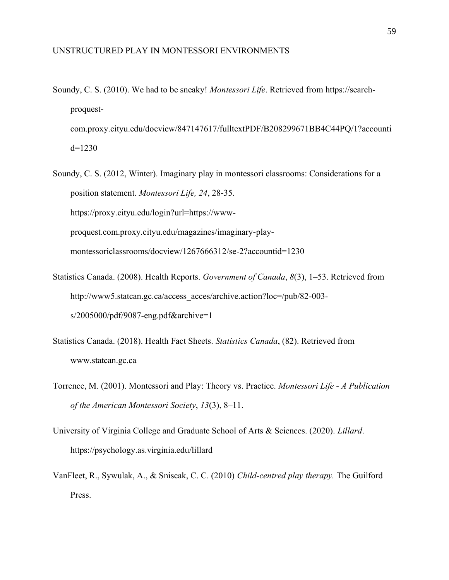- Soundy, C. S. (2010). We had to be sneaky! *Montessori Life*. Retrieved from https://searchproquestcom.proxy.cityu.edu/docview/847147617/fulltextPDF/B208299671BB4C44PQ/1?accounti d=1230
- Soundy, C. S. (2012, Winter). Imaginary play in montessori classrooms: Considerations for a position statement. *Montessori Life, 24*, 28-35. https://proxy.cityu.edu/login?url=https://wwwproquest.com.proxy.cityu.edu/magazines/imaginary-playmontessoriclassrooms/docview/1267666312/se-2?accountid=1230
- Statistics Canada. (2008). Health Reports. *Government of Canada*, *8*(3), 1–53. Retrieved from http://www5.statcan.gc.ca/access\_acces/archive.action?loc=/pub/82-003s/2005000/pdf/9087-eng.pdf&archive=1
- Statistics Canada. (2018). Health Fact Sheets. *Statistics Canada*, (82). Retrieved from www.statcan.gc.ca
- Torrence, M. (2001). Montessori and Play: Theory vs. Practice. *Montessori Life - A Publication of the American Montessori Society*, *13*(3), 8–11.
- University of Virginia College and Graduate School of Arts & Sciences. (2020). *Lillard*. https://psychology.as.virginia.edu/lillard
- VanFleet, R., Sywulak, A., & Sniscak, C. C. (2010) *Child-centred play therapy.* The Guilford Press.